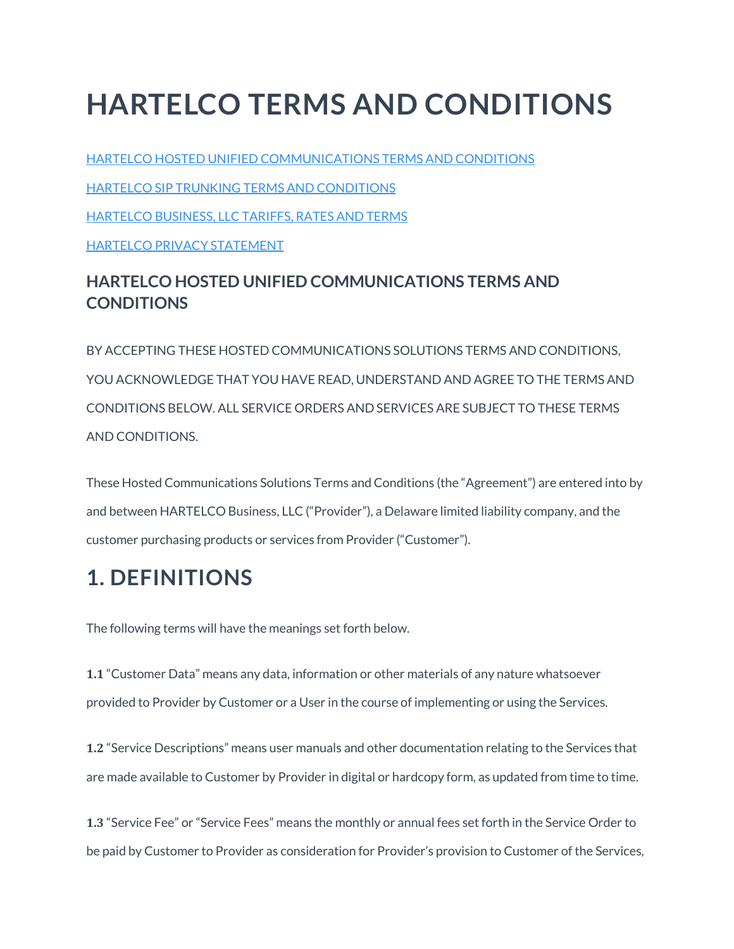# **HARTELCO TERMS AND CONDITIONS**

HARTELCO HOSTED UNIFIED [COMMUNICATIONS](https://www.voyant.com/anpi-terms-and-conditions/#link-target1) TERMS AND CONDITIONS HARTELCO SIP TRUNKING TERMS AND [CONDITIONS](https://www.voyant.com/anpi-terms-and-conditions/#link-target2) [HARTELCO](https://www.voyant.com/anpi-terms-and-conditions/#link-target3) BUSINESS, LLC TARIFFS, RATES AND TERMS HARTELCO PRIVACY [STATEMENT](https://www.voyant.com/anpi-terms-and-conditions/#link-target4)

#### **HARTELCO HOSTED UNIFIED COMMUNICATIONS TERMS AND CONDITIONS**

BY ACCEPTING THESE HOSTED COMMUNICATIONS SOLUTIONS TERMS AND CONDITIONS, YOU ACKNOWLEDGE THAT YOU HAVE READ, UNDERSTAND AND AGREE TO THE TERMS AND CONDITIONS BELOW. ALL SERVICE ORDERS AND SERVICES ARE SUBJECT TO THESE TERMS AND CONDITIONS.

These Hosted Communications Solutions Terms and Conditions (the "Agreement") are entered into by and between HARTELCO Business, LLC ("Provider"), a Delaware limited liability company, and the customer purchasing products or services from Provider ("Customer").

## **1. DEFINITIONS**

The following terms will have the meanings set forth below.

**1.1** "Customer Data" means any data, information or other materials of any nature whatsoever provided to Provider by Customer or a User in the course of implementing or using the Services.

**1.2** "Service Descriptions" means user manuals and other documentation relating to the Services that are made available to Customer by Provider in digital or hardcopy form, as updated from time to time.

**1.3** "Service Fee" or "Service Fees" means the monthly or annual fees set forth in the Service Order to be paid by Customer to Provider as consideration for Provider's provision to Customer of the Services,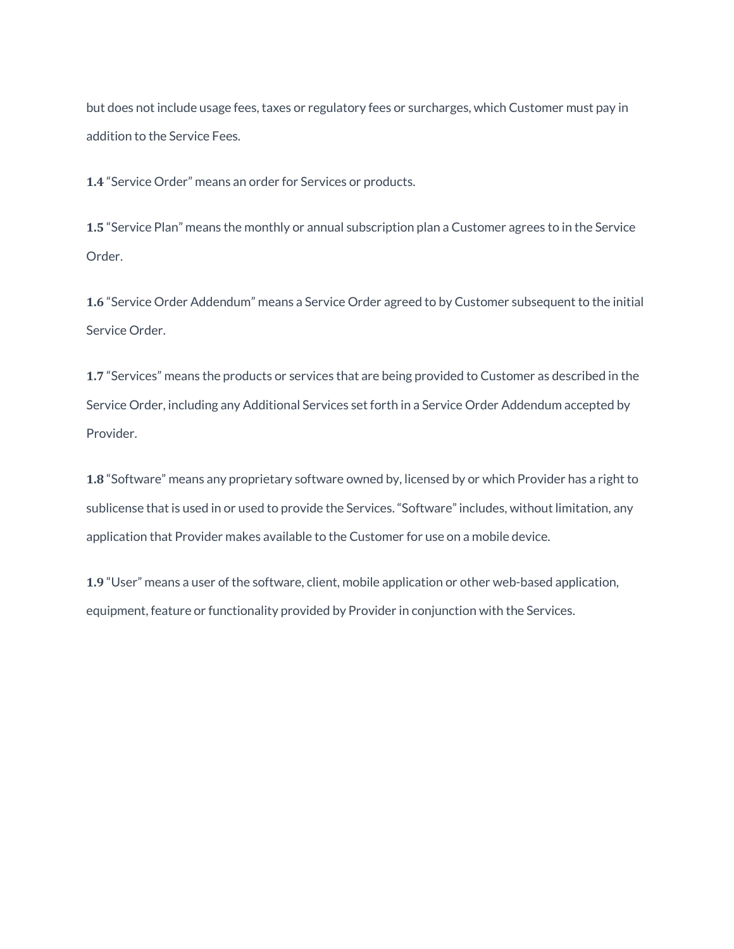but does not include usage fees, taxes or regulatory fees or surcharges, which Customer must pay in addition to the Service Fees.

**1.4** "Service Order" means an order for Services or products.

**1.5** "Service Plan" means the monthly or annual subscription plan a Customer agrees to in the Service Order.

**1.6** "Service Order Addendum" means a Service Order agreed to by Customer subsequent to the initial Service Order.

**1.7** "Services" means the products or services that are being provided to Customer as described in the Service Order, including any Additional Services set forth in a Service Order Addendum accepted by Provider.

**1.8** "Software" means any proprietary software owned by, licensed by or which Provider has a right to sublicense that is used in or used to provide the Services. "Software" includes, without limitation, any application that Provider makes available to the Customer for use on a mobile device.

**1.9** "User" means a user of the software, client, mobile application or other web-based application, equipment, feature or functionality provided by Provider in conjunction with the Services.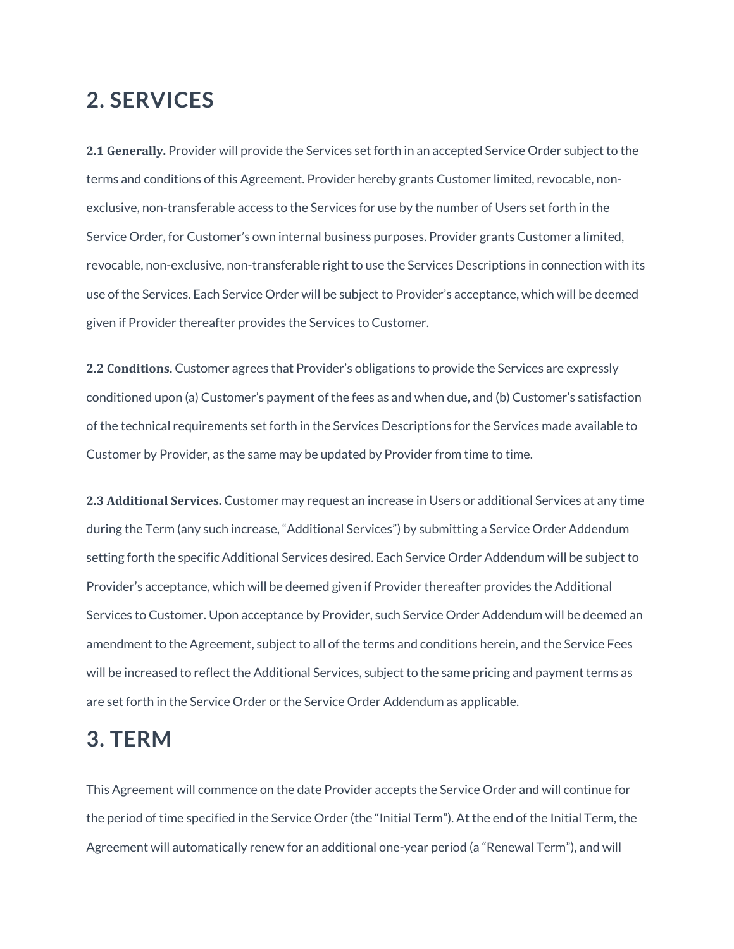#### **2. SERVICES**

**2.1 Generally.** Provider will provide the Services set forth in an accepted Service Order subject to the terms and conditions of this Agreement. Provider hereby grants Customer limited, revocable, nonexclusive, non-transferable access to the Services for use by the number of Users set forth in the Service Order, for Customer's own internal business purposes. Provider grants Customer a limited, revocable, non-exclusive, non-transferable right to use the Services Descriptions in connection with its use of the Services. Each Service Order will be subject to Provider's acceptance, which will be deemed given if Provider thereafter provides the Services to Customer.

**2.2 Conditions.** Customer agrees that Provider's obligations to provide the Services are expressly conditioned upon (a) Customer's payment of the fees as and when due, and (b) Customer's satisfaction of the technical requirements set forth in the Services Descriptions for the Services made available to Customer by Provider, as the same may be updated by Provider from time to time.

**2.3 Additional Services.** Customer may request an increase in Users or additional Services at any time during the Term (any such increase, "Additional Services") by submitting a Service Order Addendum setting forth the specific Additional Services desired. Each Service Order Addendum will be subject to Provider's acceptance, which will be deemed given if Provider thereafter provides the Additional Services to Customer. Upon acceptance by Provider, such Service Order Addendum will be deemed an amendment to the Agreement, subject to all of the terms and conditions herein, and the Service Fees will be increased to reflect the Additional Services, subject to the same pricing and payment terms as are set forth in the Service Order or the Service Order Addendum as applicable.

#### **3. TERM**

This Agreement will commence on the date Provider accepts the Service Order and will continue for the period of time specified in the Service Order (the "Initial Term"). At the end of the Initial Term, the Agreement will automatically renew for an additional one-year period (a "Renewal Term"), and will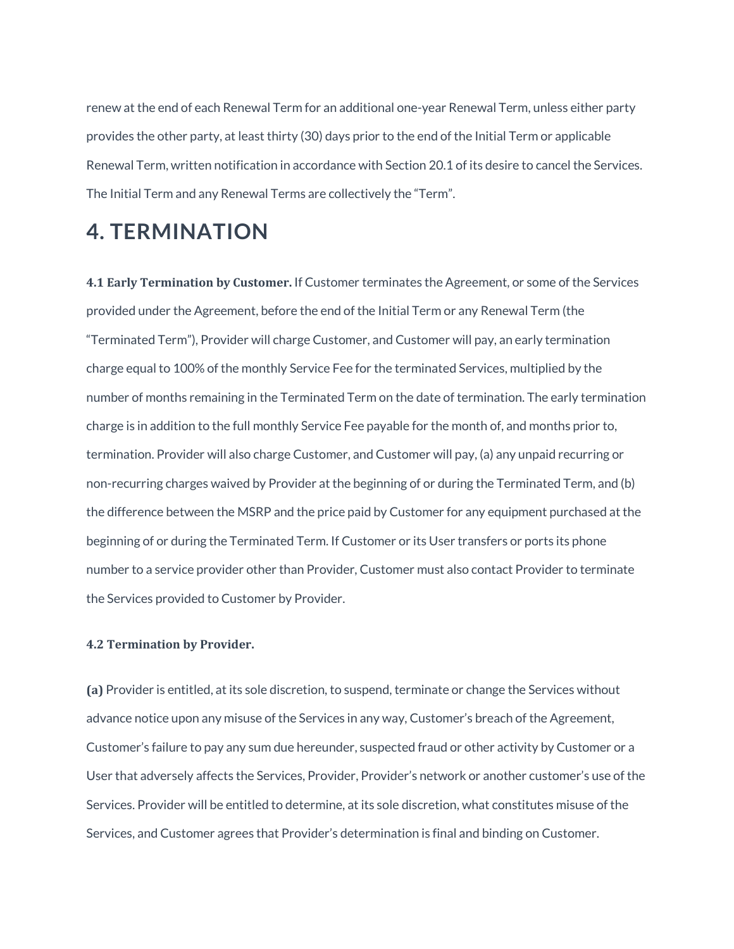renew at the end of each Renewal Term for an additional one-year Renewal Term, unless either party provides the other party, at least thirty (30) days prior to the end of the Initial Term or applicable Renewal Term, written notification in accordance with Section 20.1 of its desire to cancel the Services. The Initial Term and any Renewal Terms are collectively the "Term".

### **4. TERMINATION**

**4.1 Early Termination by Customer.** If Customer terminates the Agreement, or some of the Services provided under the Agreement, before the end of the Initial Term or any Renewal Term (the "Terminated Term"), Provider will charge Customer, and Customer will pay, an early termination charge equal to 100% of the monthly Service Fee for the terminated Services, multiplied by the number of months remaining in the Terminated Term on the date of termination. The early termination charge is in addition to the full monthly Service Fee payable for the month of, and months prior to, termination. Provider will also charge Customer, and Customer will pay, (a) any unpaid recurring or non-recurring charges waived by Provider at the beginning of or during the Terminated Term, and (b) the difference between the MSRP and the price paid by Customer for any equipment purchased at the beginning of or during the Terminated Term. If Customer or its User transfers or ports its phone number to a service provider other than Provider, Customer must also contact Provider to terminate the Services provided to Customer by Provider.

#### **4.2 Termination by Provider.**

**(a)** Provider is entitled, at its sole discretion, to suspend, terminate or change the Services without advance notice upon any misuse of the Services in any way, Customer's breach of the Agreement, Customer's failure to pay any sum due hereunder, suspected fraud or other activity by Customer or a User that adversely affects the Services, Provider, Provider's network or another customer's use of the Services. Provider will be entitled to determine, at its sole discretion, what constitutes misuse of the Services, and Customer agrees that Provider's determination is final and binding on Customer.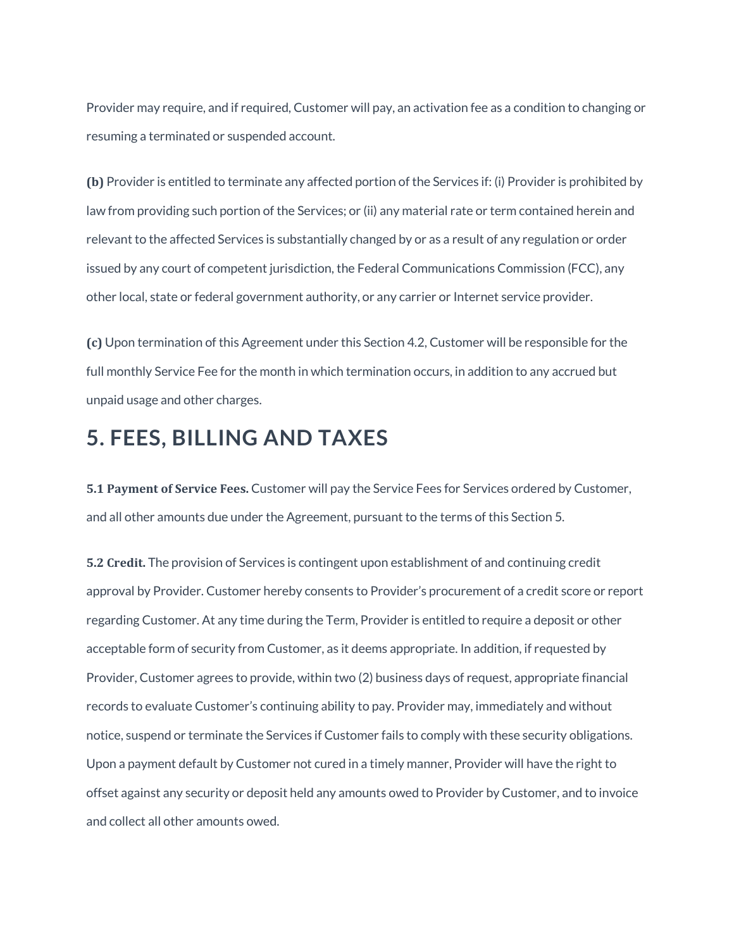Provider may require, and if required, Customer will pay, an activation fee as a condition to changing or resuming a terminated or suspended account.

**(b)** Provider is entitled to terminate any affected portion of the Services if: (i) Provider is prohibited by law from providing such portion of the Services; or (ii) any material rate or term contained herein and relevant to the affected Services is substantially changed by or as a result of any regulation or order issued by any court of competent jurisdiction, the Federal Communications Commission (FCC), any other local, state or federal government authority, or any carrier or Internet service provider.

**(c)** Upon termination of this Agreement under this Section 4.2, Customer will be responsible for the full monthly Service Fee for the month in which termination occurs, in addition to any accrued but unpaid usage and other charges.

## **5. FEES, BILLING AND TAXES**

**5.1 Payment of Service Fees.** Customer will pay the Service Fees for Services ordered by Customer, and all other amounts due under the Agreement, pursuant to the terms of this Section 5.

**5.2 Credit.** The provision of Services is contingent upon establishment of and continuing credit approval by Provider. Customer hereby consents to Provider's procurement of a credit score or report regarding Customer. At any time during the Term, Provider is entitled to require a deposit or other acceptable form of security from Customer, as it deems appropriate. In addition, if requested by Provider, Customer agrees to provide, within two (2) business days of request, appropriate financial records to evaluate Customer's continuing ability to pay. Provider may, immediately and without notice, suspend or terminate the Services if Customer fails to comply with these security obligations. Upon a payment default by Customer not cured in a timely manner, Provider will have the right to offset against any security or deposit held any amounts owed to Provider by Customer, and to invoice and collect all other amounts owed.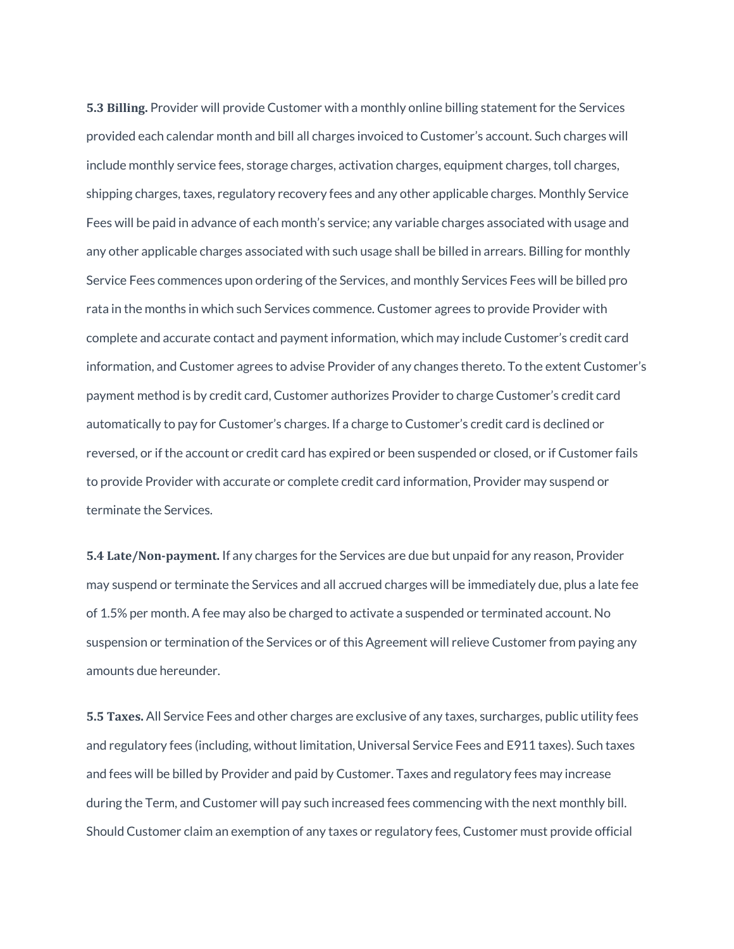**5.3 Billing.** Provider will provide Customer with a monthly online billing statement for the Services provided each calendar month and bill all charges invoiced to Customer's account. Such charges will include monthly service fees, storage charges, activation charges, equipment charges, toll charges, shipping charges, taxes, regulatory recovery fees and any other applicable charges. Monthly Service Fees will be paid in advance of each month's service; any variable charges associated with usage and any other applicable charges associated with such usage shall be billed in arrears. Billing for monthly Service Fees commences upon ordering of the Services, and monthly Services Fees will be billed pro rata in the months in which such Services commence. Customer agrees to provide Provider with complete and accurate contact and payment information, which may include Customer's credit card information, and Customer agrees to advise Provider of any changes thereto. To the extent Customer's payment method is by credit card, Customer authorizes Provider to charge Customer's credit card automatically to pay for Customer's charges. If a charge to Customer's credit card is declined or reversed, or if the account or credit card has expired or been suspended or closed, or if Customer fails to provide Provider with accurate or complete credit card information, Provider may suspend or terminate the Services.

**5.4 Late/Non-payment.** If any charges for the Services are due but unpaid for any reason, Provider may suspend or terminate the Services and all accrued charges will be immediately due, plus a late fee of 1.5% per month. A fee may also be charged to activate a suspended or terminated account. No suspension or termination of the Services or of this Agreement will relieve Customer from paying any amounts due hereunder.

**5.5 Taxes.** All Service Fees and other charges are exclusive of any taxes, surcharges, public utility fees and regulatory fees (including, without limitation, Universal Service Fees and E911 taxes). Such taxes and fees will be billed by Provider and paid by Customer. Taxes and regulatory fees may increase during the Term, and Customer will pay such increased fees commencing with the next monthly bill. Should Customer claim an exemption of any taxes or regulatory fees, Customer must provide official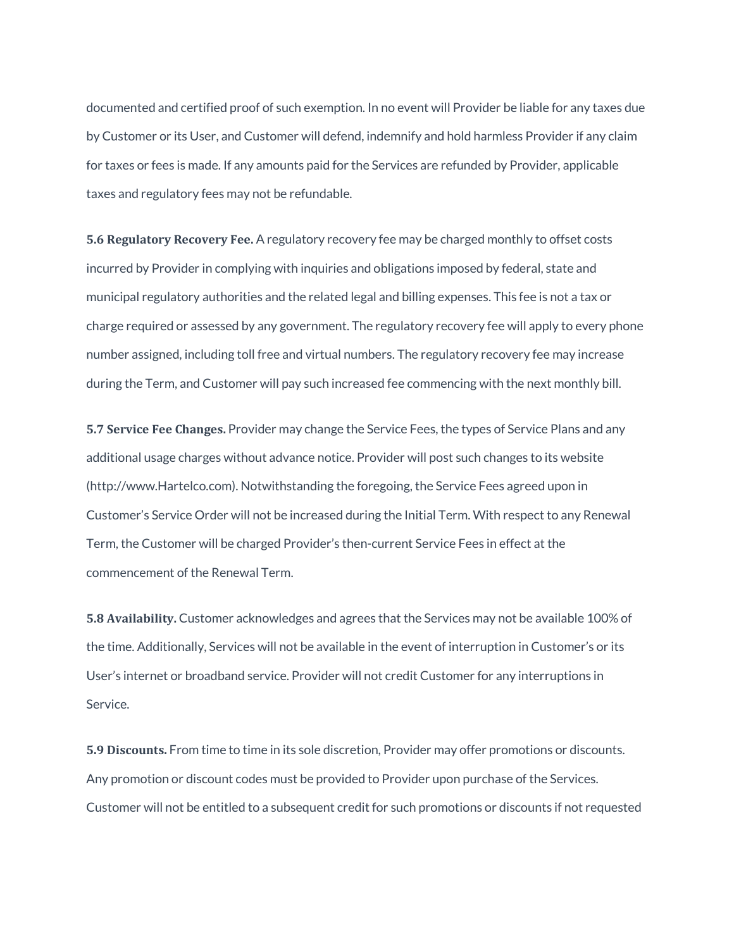documented and certified proof of such exemption. In no event will Provider be liable for any taxes due by Customer or its User, and Customer will defend, indemnify and hold harmless Provider if any claim for taxes or fees is made. If any amounts paid for the Services are refunded by Provider, applicable taxes and regulatory fees may not be refundable.

**5.6 Regulatory Recovery Fee.** A regulatory recovery fee may be charged monthly to offset costs incurred by Provider in complying with inquiries and obligations imposed by federal, state and municipal regulatory authorities and the related legal and billing expenses. This fee is not a tax or charge required or assessed by any government. The regulatory recovery fee will apply to every phone number assigned, including toll free and virtual numbers. The regulatory recovery fee may increase during the Term, and Customer will pay such increased fee commencing with the next monthly bill.

**5.7 Service Fee Changes.** Provider may change the Service Fees, the types of Service Plans and any additional usage charges without advance notice. Provider will post such changes to its website (http://www.Hartelco.com). Notwithstanding the foregoing, the Service Fees agreed upon in Customer's Service Order will not be increased during the Initial Term. With respect to any Renewal Term, the Customer will be charged Provider's then-current Service Fees in effect at the commencement of the Renewal Term.

**5.8 Availability.** Customer acknowledges and agrees that the Services may not be available 100% of the time. Additionally, Services will not be available in the event of interruption in Customer's or its User's internet or broadband service. Provider will not credit Customer for any interruptions in Service.

**5.9 Discounts.** From time to time in its sole discretion, Provider may offer promotions or discounts. Any promotion or discount codes must be provided to Provider upon purchase of the Services. Customer will not be entitled to a subsequent credit for such promotions or discounts if not requested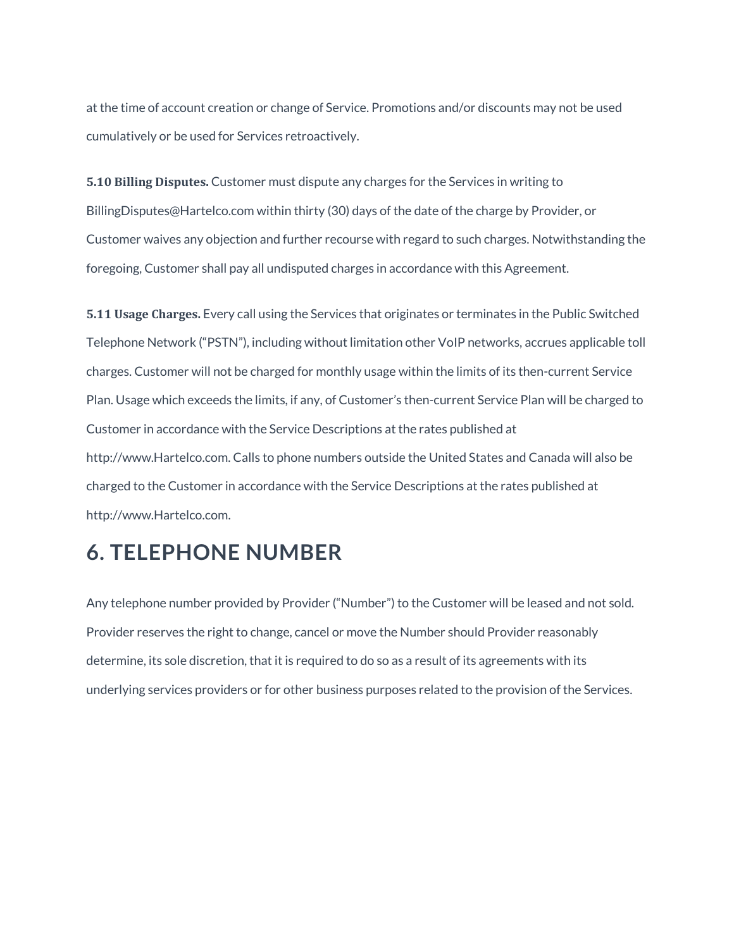at the time of account creation or change of Service. Promotions and/or discounts may not be used cumulatively or be used for Services retroactively.

**5.10 Billing Disputes.** Customer must dispute any charges for the Services in writing to BillingDisputes@Hartelco.com within thirty (30) days of the date of the charge by Provider, or Customer waives any objection and further recourse with regard to such charges. Notwithstanding the foregoing, Customer shall pay all undisputed charges in accordance with this Agreement.

**5.11 Usage Charges.** Every call using the Services that originates or terminates in the Public Switched Telephone Network ("PSTN"), including without limitation other VoIP networks, accrues applicable toll charges. Customer will not be charged for monthly usage within the limits of its then-current Service Plan. Usage which exceeds the limits, if any, of Customer's then-current Service Plan will be charged to Customer in accordance with the Service Descriptions at the rates published at http://www.Hartelco.com. Calls to phone numbers outside the United States and Canada will also be charged to the Customer in accordance with the Service Descriptions at the rates published at http://www.Hartelco.com.

### **6. TELEPHONE NUMBER**

Any telephone number provided by Provider ("Number") to the Customer will be leased and not sold. Provider reserves the right to change, cancel or move the Number should Provider reasonably determine, its sole discretion, that it is required to do so as a result of its agreements with its underlying services providers or for other business purposes related to the provision of the Services.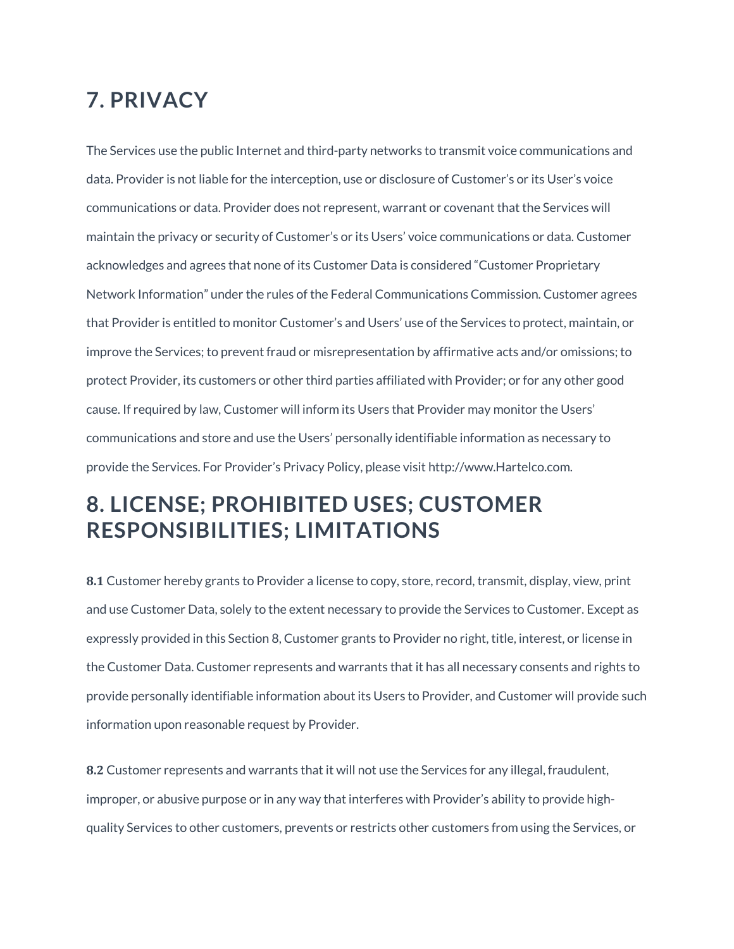## **7. PRIVACY**

The Services use the public Internet and third-party networks to transmit voice communications and data. Provider is not liable for the interception, use or disclosure of Customer's or its User's voice communications or data. Provider does not represent, warrant or covenant that the Services will maintain the privacy or security of Customer's or its Users' voice communications or data. Customer acknowledges and agrees that none of its Customer Data is considered "Customer Proprietary Network Information" under the rules of the Federal Communications Commission. Customer agrees that Provider is entitled to monitor Customer's and Users' use of the Services to protect, maintain, or improve the Services; to prevent fraud or misrepresentation by affirmative acts and/or omissions; to protect Provider, its customers or other third parties affiliated with Provider; or for any other good cause. If required by law, Customer will inform its Users that Provider may monitor the Users' communications and store and use the Users' personally identifiable information as necessary to provide the Services. For Provider's Privacy Policy, please visit http://www.Hartelco.com.

## **8. LICENSE; PROHIBITED USES; CUSTOMER RESPONSIBILITIES; LIMITATIONS**

**8.1** Customer hereby grants to Provider a license to copy, store, record, transmit, display, view, print and use Customer Data, solely to the extent necessary to provide the Services to Customer. Except as expressly provided in this Section 8, Customer grants to Provider no right, title, interest, or license in the Customer Data. Customer represents and warrants that it has all necessary consents and rights to provide personally identifiable information about its Users to Provider, and Customer will provide such information upon reasonable request by Provider.

**8.2** Customer represents and warrants that it will not use the Services for any illegal, fraudulent, improper, or abusive purpose or in any way that interferes with Provider's ability to provide highquality Services to other customers, prevents or restricts other customers from using the Services, or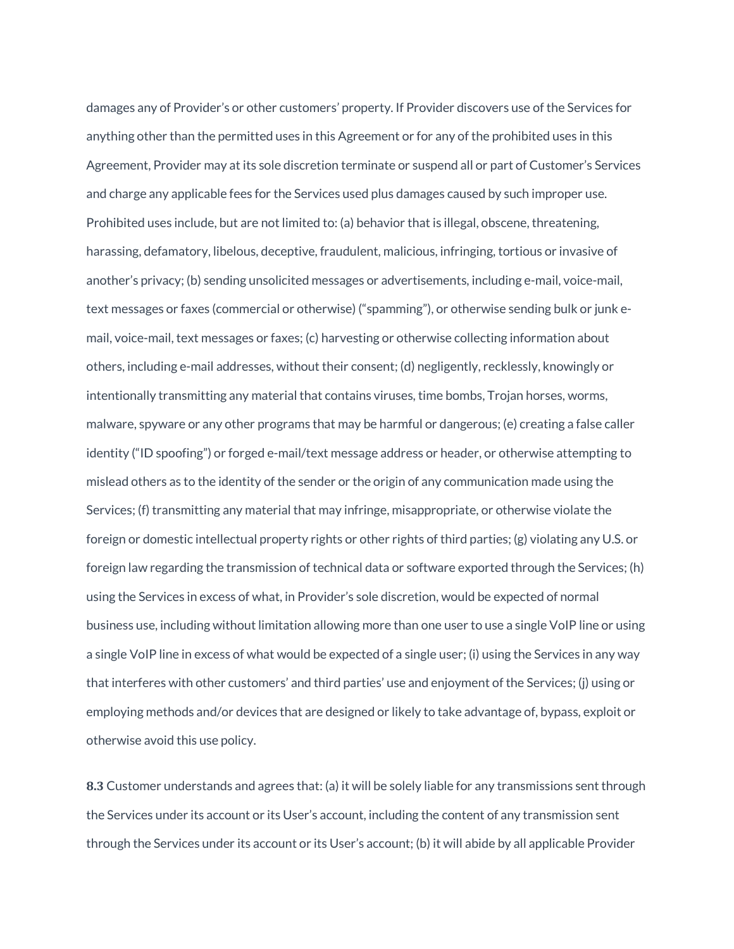damages any of Provider's or other customers' property. If Provider discovers use of the Services for anything other than the permitted uses in this Agreement or for any of the prohibited uses in this Agreement, Provider may at its sole discretion terminate or suspend all or part of Customer's Services and charge any applicable fees for the Services used plus damages caused by such improper use. Prohibited uses include, but are not limited to: (a) behavior that is illegal, obscene, threatening, harassing, defamatory, libelous, deceptive, fraudulent, malicious, infringing, tortious or invasive of another's privacy; (b) sending unsolicited messages or advertisements, including e-mail, voice-mail, text messages or faxes (commercial or otherwise) ("spamming"), or otherwise sending bulk or junk email, voice-mail, text messages or faxes; (c) harvesting or otherwise collecting information about others, including e-mail addresses, without their consent; (d) negligently, recklessly, knowingly or intentionally transmitting any material that contains viruses, time bombs, Trojan horses, worms, malware, spyware or any other programs that may be harmful or dangerous; (e) creating a false caller identity ("ID spoofing") or forged e-mail/text message address or header, or otherwise attempting to mislead others as to the identity of the sender or the origin of any communication made using the Services; (f) transmitting any material that may infringe, misappropriate, or otherwise violate the foreign or domestic intellectual property rights or other rights of third parties; (g) violating any U.S. or foreign law regarding the transmission of technical data or software exported through the Services; (h) using the Services in excess of what, in Provider's sole discretion, would be expected of normal business use, including without limitation allowing more than one user to use a single VoIP line or using a single VoIP line in excess of what would be expected of a single user; (i) using the Services in any way that interferes with other customers' and third parties' use and enjoyment of the Services; (j) using or employing methods and/or devices that are designed or likely to take advantage of, bypass, exploit or otherwise avoid this use policy.

**8.3** Customer understands and agrees that: (a) it will be solely liable for any transmissions sent through the Services under its account or its User's account, including the content of any transmission sent through the Services under its account or its User's account; (b) it will abide by all applicable Provider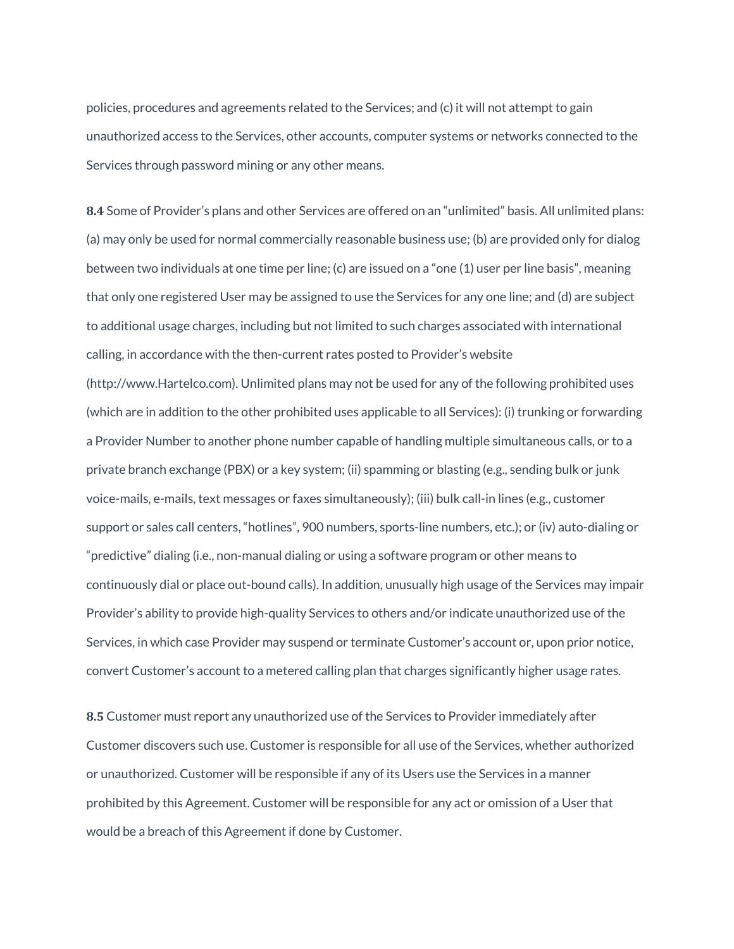policies, procedures and agreements related to the Services; and (c) it will not attempt to gain unauthorized access to the Services, other accounts, computer systems or networks connected to the Services through password mining or any other means.

**8.4** Some of Provider's plans and other Services are offered on an "unlimited" basis. All unlimited plans: (a) may only be used for normal commercially reasonable business use; (b) are provided only for dialog between two individuals at one time per line; (c) are issued on a "one (1) user per line basis", meaning that only one registered User may be assigned to use the Services for any one line; and (d) are subject to additional usage charges, including but not limited to such charges associated with international calling, in accordance with the then-current rates posted to Provider's website (http://www.Hartelco.com). Unlimited plans may not be used for any of the following prohibited uses (which are in addition to the other prohibited uses applicable to all Services): (i) trunking or forwarding a Provider Number to another phone number capable of handling multiple simultaneous calls, or to a private branch exchange (PBX) or a key system; (ii) spamming or blasting (e.g., sending bulk or junk voice-mails, e-mails, text messages or faxes simultaneously); (iii) bulk call-in lines (e.g., customer support or sales call centers, "hotlines", 900 numbers, sports-line numbers, etc.); or (iv) auto-dialing or "predictive" dialing (i.e., non-manual dialing or using a software program or other means to continuously dial or place out-bound calls). In addition, unusually high usage of the Services may impair Provider's ability to provide high-quality Services to others and/or indicate unauthorized use of the Services, in which case Provider may suspend or terminate Customer's account or, upon prior notice, convert Customer's account to a metered calling plan that charges significantly higher usage rates.

**8.5** Customer must report any unauthorized use of the Services to Provider immediately after Customer discovers such use. Customer is responsible for all use of the Services, whether authorized or unauthorized. Customer will be responsible if any of its Users use the Services in a manner prohibited by this Agreement. Customer will be responsible for any act or omission of a User that would be a breach of this Agreement if done by Customer.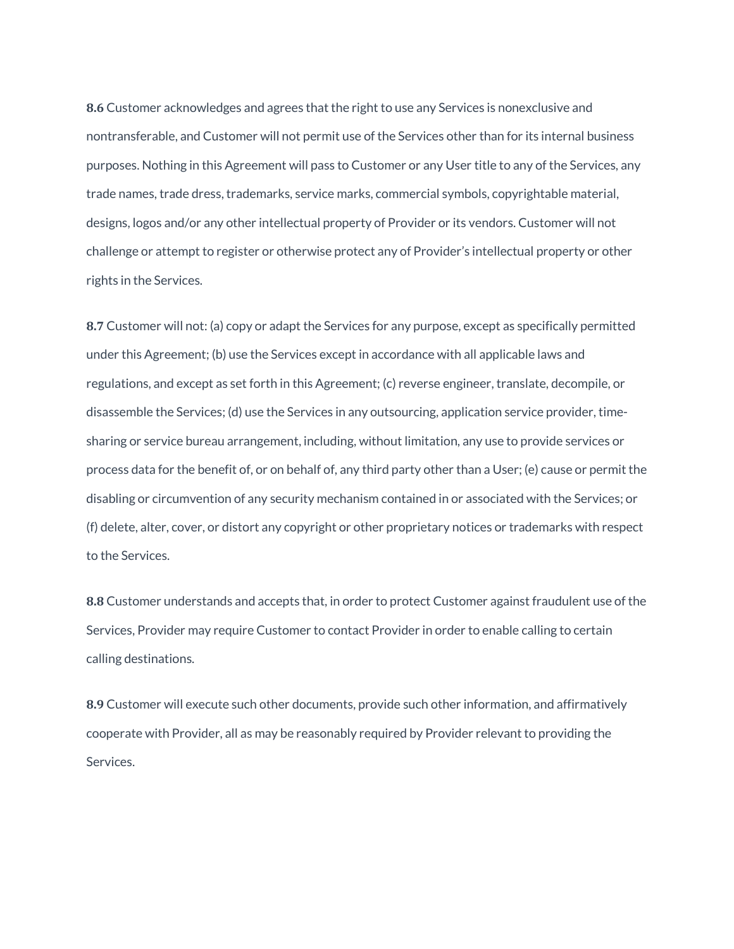**8.6** Customer acknowledges and agrees that the right to use any Services is nonexclusive and nontransferable, and Customer will not permit use of the Services other than for its internal business purposes. Nothing in this Agreement will pass to Customer or any User title to any of the Services, any trade names, trade dress, trademarks, service marks, commercial symbols, copyrightable material, designs, logos and/or any other intellectual property of Provider or its vendors. Customer will not challenge or attempt to register or otherwise protect any of Provider's intellectual property or other rights in the Services.

**8.7** Customer will not: (a) copy or adapt the Services for any purpose, except as specifically permitted under this Agreement; (b) use the Services except in accordance with all applicable laws and regulations, and except as set forth in this Agreement; (c) reverse engineer, translate, decompile, or disassemble the Services; (d) use the Services in any outsourcing, application service provider, timesharing or service bureau arrangement, including, without limitation, any use to provide services or process data for the benefit of, or on behalf of, any third party other than a User; (e) cause or permit the disabling or circumvention of any security mechanism contained in or associated with the Services; or (f) delete, alter, cover, or distort any copyright or other proprietary notices or trademarks with respect to the Services.

**8.8** Customer understands and accepts that, in order to protect Customer against fraudulent use of the Services, Provider may require Customer to contact Provider in order to enable calling to certain calling destinations.

**8.9** Customer will execute such other documents, provide such other information, and affirmatively cooperate with Provider, all as may be reasonably required by Provider relevant to providing the Services.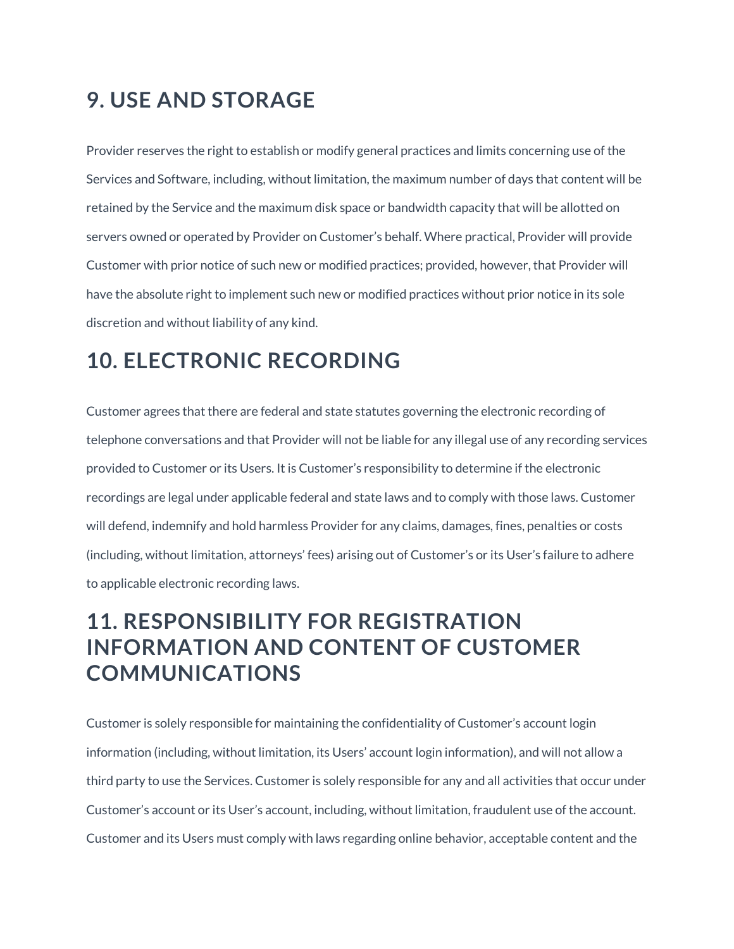## **9. USE AND STORAGE**

Provider reserves the right to establish or modify general practices and limits concerning use of the Services and Software, including, without limitation, the maximum number of days that content will be retained by the Service and the maximum disk space or bandwidth capacity that will be allotted on servers owned or operated by Provider on Customer's behalf. Where practical, Provider will provide Customer with prior notice of such new or modified practices; provided, however, that Provider will have the absolute right to implement such new or modified practices without prior notice in its sole discretion and without liability of any kind.

## **10. ELECTRONIC RECORDING**

Customer agrees that there are federal and state statutes governing the electronic recording of telephone conversations and that Provider will not be liable for any illegal use of any recording services provided to Customer or its Users. It is Customer's responsibility to determine if the electronic recordings are legal under applicable federal and state laws and to comply with those laws. Customer will defend, indemnify and hold harmless Provider for any claims, damages, fines, penalties or costs (including, without limitation, attorneys' fees) arising out of Customer's or its User's failure to adhere to applicable electronic recording laws.

## **11. RESPONSIBILITY FOR REGISTRATION INFORMATION AND CONTENT OF CUSTOMER COMMUNICATIONS**

Customer is solely responsible for maintaining the confidentiality of Customer's account login information (including, without limitation, its Users' account login information), and will not allow a third party to use the Services. Customer is solely responsible for any and all activities that occur under Customer's account or its User's account, including, without limitation, fraudulent use of the account. Customer and its Users must comply with laws regarding online behavior, acceptable content and the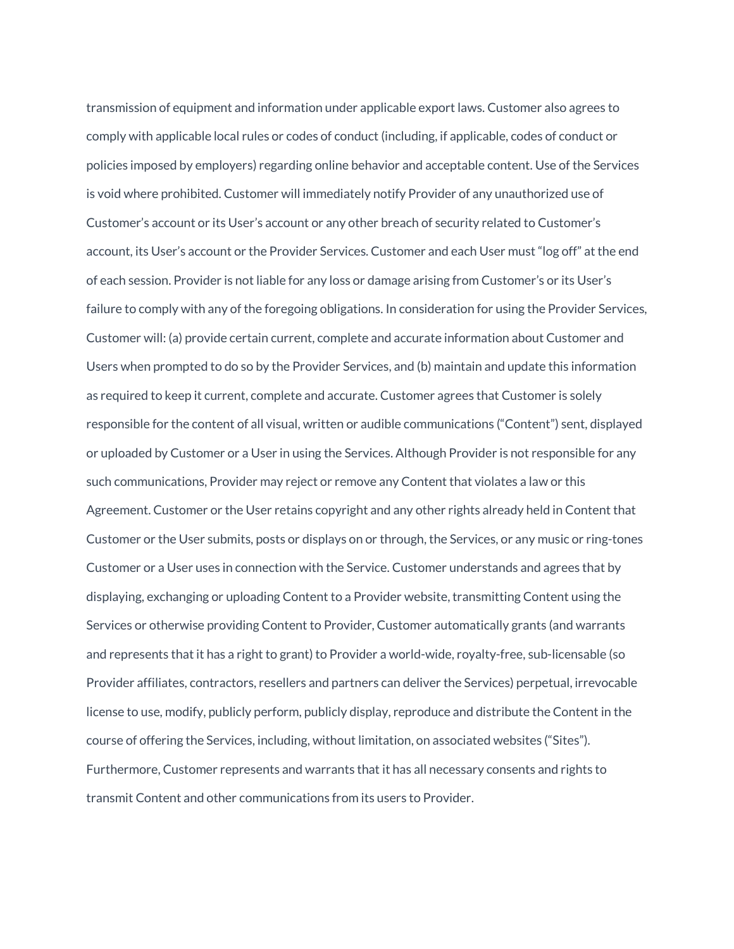transmission of equipment and information under applicable export laws. Customer also agrees to comply with applicable local rules or codes of conduct (including, if applicable, codes of conduct or policies imposed by employers) regarding online behavior and acceptable content. Use of the Services is void where prohibited. Customer will immediately notify Provider of any unauthorized use of Customer's account or its User's account or any other breach of security related to Customer's account, its User's account or the Provider Services. Customer and each User must "log off" at the end of each session. Provider is not liable for any loss or damage arising from Customer's or its User's failure to comply with any of the foregoing obligations. In consideration for using the Provider Services, Customer will: (a) provide certain current, complete and accurate information about Customer and Users when prompted to do so by the Provider Services, and (b) maintain and update this information as required to keep it current, complete and accurate. Customer agrees that Customer is solely responsible for the content of all visual, written or audible communications ("Content") sent, displayed or uploaded by Customer or a User in using the Services. Although Provider is not responsible for any such communications, Provider may reject or remove any Content that violates a law or this Agreement. Customer or the User retains copyright and any other rights already held in Content that Customer or the User submits, posts or displays on or through, the Services, or any music or ring-tones Customer or a User uses in connection with the Service. Customer understands and agrees that by displaying, exchanging or uploading Content to a Provider website, transmitting Content using the Services or otherwise providing Content to Provider, Customer automatically grants (and warrants and represents that it has a right to grant) to Provider a world-wide, royalty-free, sub-licensable (so Provider affiliates, contractors, resellers and partners can deliver the Services) perpetual, irrevocable license to use, modify, publicly perform, publicly display, reproduce and distribute the Content in the course of offering the Services, including, without limitation, on associated websites ("Sites"). Furthermore, Customer represents and warrants that it has all necessary consents and rights to transmit Content and other communications from its users to Provider.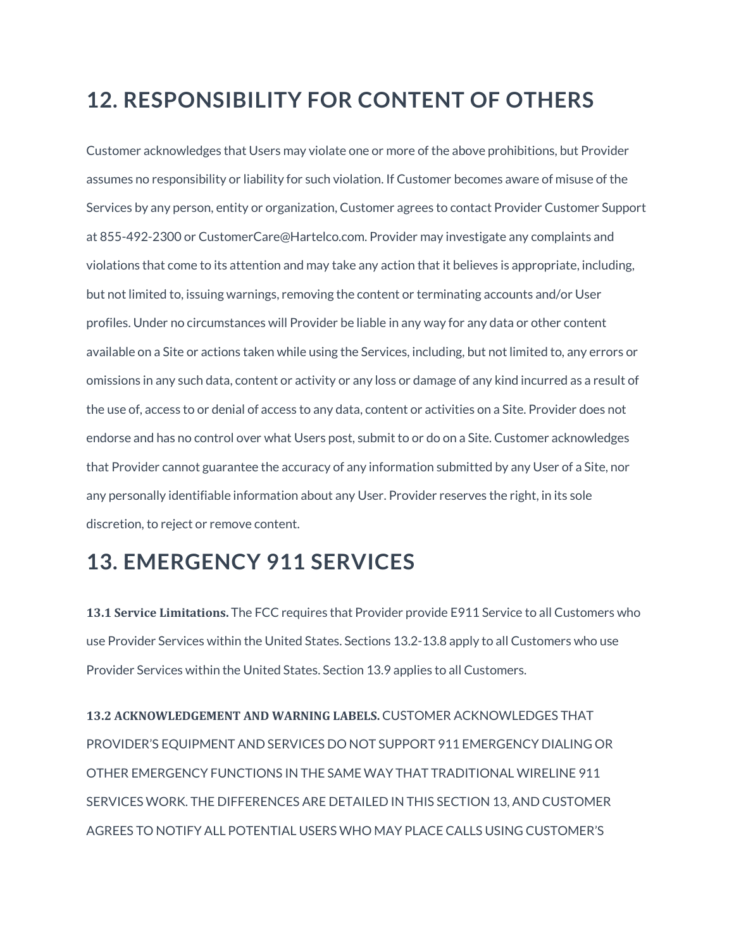## **12. RESPONSIBILITY FOR CONTENT OF OTHERS**

Customer acknowledges that Users may violate one or more of the above prohibitions, but Provider assumes no responsibility or liability for such violation. If Customer becomes aware of misuse of the Services by any person, entity or organization, Customer agrees to contact Provider Customer Support at 855-492-2300 or CustomerCare@Hartelco.com. Provider may investigate any complaints and violations that come to its attention and may take any action that it believes is appropriate, including, but not limited to, issuing warnings, removing the content or terminating accounts and/or User profiles. Under no circumstances will Provider be liable in any way for any data or other content available on a Site or actions taken while using the Services, including, but not limited to, any errors or omissions in any such data, content or activity or any loss or damage of any kind incurred as a result of the use of, access to or denial of access to any data, content or activities on a Site. Provider does not endorse and has no control over what Users post, submit to or do on a Site. Customer acknowledges that Provider cannot guarantee the accuracy of any information submitted by any User of a Site, nor any personally identifiable information about any User. Provider reserves the right, in its sole discretion, to reject or remove content.

## **13. EMERGENCY 911 SERVICES**

**13.1 Service Limitations.** The FCC requires that Provider provide E911 Service to all Customers who use Provider Services within the United States. Sections 13.2-13.8 apply to all Customers who use Provider Services within the United States. Section 13.9 applies to all Customers.

**13.2 ACKNOWLEDGEMENT AND WARNING LABELS.** CUSTOMER ACKNOWLEDGES THAT PROVIDER'S EQUIPMENT AND SERVICES DO NOT SUPPORT 911 EMERGENCY DIALING OR OTHER EMERGENCY FUNCTIONS IN THE SAME WAY THAT TRADITIONAL WIRELINE 911 SERVICES WORK. THE DIFFERENCES ARE DETAILED IN THIS SECTION 13, AND CUSTOMER AGREES TO NOTIFY ALL POTENTIAL USERS WHO MAY PLACE CALLS USING CUSTOMER'S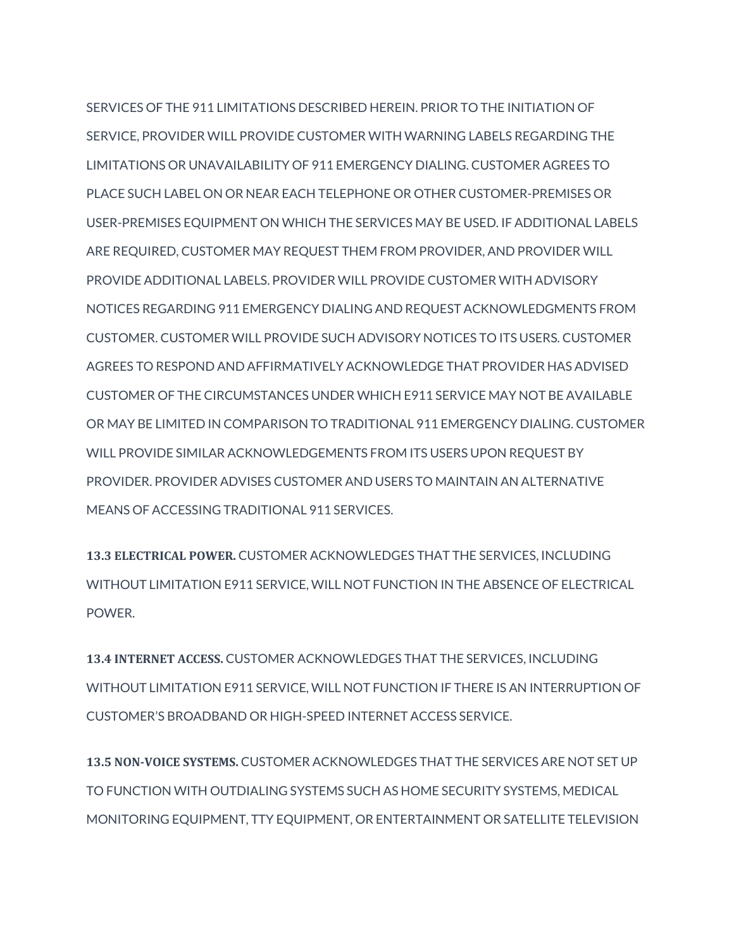SERVICES OF THE 911 LIMITATIONS DESCRIBED HEREIN. PRIOR TO THE INITIATION OF SERVICE, PROVIDER WILL PROVIDE CUSTOMER WITH WARNING LABELS REGARDING THE LIMITATIONS OR UNAVAILABILITY OF 911 EMERGENCY DIALING. CUSTOMER AGREES TO PLACE SUCH LABEL ON OR NEAR EACH TELEPHONE OR OTHER CUSTOMER-PREMISES OR USER-PREMISES EQUIPMENT ON WHICH THE SERVICES MAY BE USED. IF ADDITIONAL LABELS ARE REQUIRED, CUSTOMER MAY REQUEST THEM FROM PROVIDER, AND PROVIDER WILL PROVIDE ADDITIONAL LABELS. PROVIDER WILL PROVIDE CUSTOMER WITH ADVISORY NOTICES REGARDING 911 EMERGENCY DIALING AND REQUEST ACKNOWLEDGMENTS FROM CUSTOMER. CUSTOMER WILL PROVIDE SUCH ADVISORY NOTICES TO ITS USERS. CUSTOMER AGREES TO RESPOND AND AFFIRMATIVELY ACKNOWLEDGE THAT PROVIDER HAS ADVISED CUSTOMER OF THE CIRCUMSTANCES UNDER WHICH E911 SERVICE MAY NOT BE AVAILABLE OR MAY BE LIMITED IN COMPARISON TO TRADITIONAL 911 EMERGENCY DIALING. CUSTOMER WILL PROVIDE SIMILAR ACKNOWLEDGEMENTS FROM ITS USERS UPON REQUEST BY PROVIDER. PROVIDER ADVISES CUSTOMER AND USERS TO MAINTAIN AN ALTERNATIVE MEANS OF ACCESSING TRADITIONAL 911 SERVICES.

**13.3 ELECTRICAL POWER.** CUSTOMER ACKNOWLEDGES THAT THE SERVICES, INCLUDING WITHOUT LIMITATION E911 SERVICE, WILL NOT FUNCTION IN THE ABSENCE OF ELECTRICAL POWER.

**13.4 INTERNET ACCESS.** CUSTOMER ACKNOWLEDGES THAT THE SERVICES, INCLUDING WITHOUT LIMITATION E911 SERVICE, WILL NOT FUNCTION IF THERE IS AN INTERRUPTION OF CUSTOMER'S BROADBAND OR HIGH-SPEED INTERNET ACCESS SERVICE.

**13.5 NON-VOICE SYSTEMS.** CUSTOMER ACKNOWLEDGES THAT THE SERVICES ARE NOT SET UP TO FUNCTION WITH OUTDIALING SYSTEMS SUCH AS HOME SECURITY SYSTEMS, MEDICAL MONITORING EQUIPMENT, TTY EQUIPMENT, OR ENTERTAINMENT OR SATELLITE TELEVISION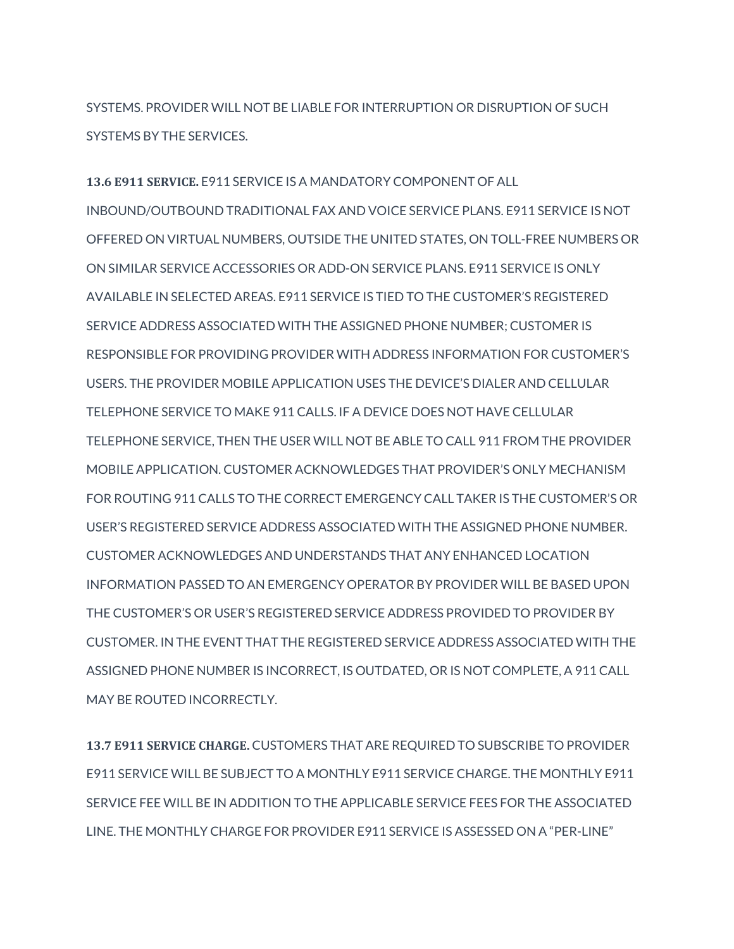SYSTEMS. PROVIDER WILL NOT BE LIABLE FOR INTERRUPTION OR DISRUPTION OF SUCH SYSTEMS BY THE SERVICES.

**13.6 E911 SERVICE.** E911 SERVICE IS A MANDATORY COMPONENT OF ALL INBOUND/OUTBOUND TRADITIONAL FAX AND VOICE SERVICE PLANS. E911 SERVICE IS NOT OFFERED ON VIRTUAL NUMBERS, OUTSIDE THE UNITED STATES, ON TOLL-FREE NUMBERS OR ON SIMILAR SERVICE ACCESSORIES OR ADD-ON SERVICE PLANS. E911 SERVICE IS ONLY AVAILABLE IN SELECTED AREAS. E911 SERVICE IS TIED TO THE CUSTOMER'S REGISTERED SERVICE ADDRESS ASSOCIATED WITH THE ASSIGNED PHONE NUMBER; CUSTOMER IS RESPONSIBLE FOR PROVIDING PROVIDER WITH ADDRESS INFORMATION FOR CUSTOMER'S USERS. THE PROVIDER MOBILE APPLICATION USES THE DEVICE'S DIALER AND CELLULAR TELEPHONE SERVICE TO MAKE 911 CALLS. IF A DEVICE DOES NOT HAVE CELLULAR TELEPHONE SERVICE, THEN THE USER WILL NOT BE ABLE TO CALL 911 FROM THE PROVIDER MOBILE APPLICATION. CUSTOMER ACKNOWLEDGES THAT PROVIDER'S ONLY MECHANISM FOR ROUTING 911 CALLS TO THE CORRECT EMERGENCY CALL TAKER IS THE CUSTOMER'S OR USER'S REGISTERED SERVICE ADDRESS ASSOCIATED WITH THE ASSIGNED PHONE NUMBER. CUSTOMER ACKNOWLEDGES AND UNDERSTANDS THAT ANY ENHANCED LOCATION INFORMATION PASSED TO AN EMERGENCY OPERATOR BY PROVIDER WILL BE BASED UPON THE CUSTOMER'S OR USER'S REGISTERED SERVICE ADDRESS PROVIDED TO PROVIDER BY CUSTOMER. IN THE EVENT THAT THE REGISTERED SERVICE ADDRESS ASSOCIATED WITH THE ASSIGNED PHONE NUMBER IS INCORRECT, IS OUTDATED, OR IS NOT COMPLETE, A 911 CALL MAY BE ROUTED INCORRECTLY.

**13.7 E911 SERVICE CHARGE.** CUSTOMERS THAT ARE REQUIRED TO SUBSCRIBE TO PROVIDER E911 SERVICE WILL BE SUBJECT TO A MONTHLY E911 SERVICE CHARGE. THE MONTHLY E911 SERVICE FEE WILL BE IN ADDITION TO THE APPLICABLE SERVICE FEES FOR THE ASSOCIATED LINE. THE MONTHLY CHARGE FOR PROVIDER E911 SERVICE IS ASSESSED ON A "PER-LINE"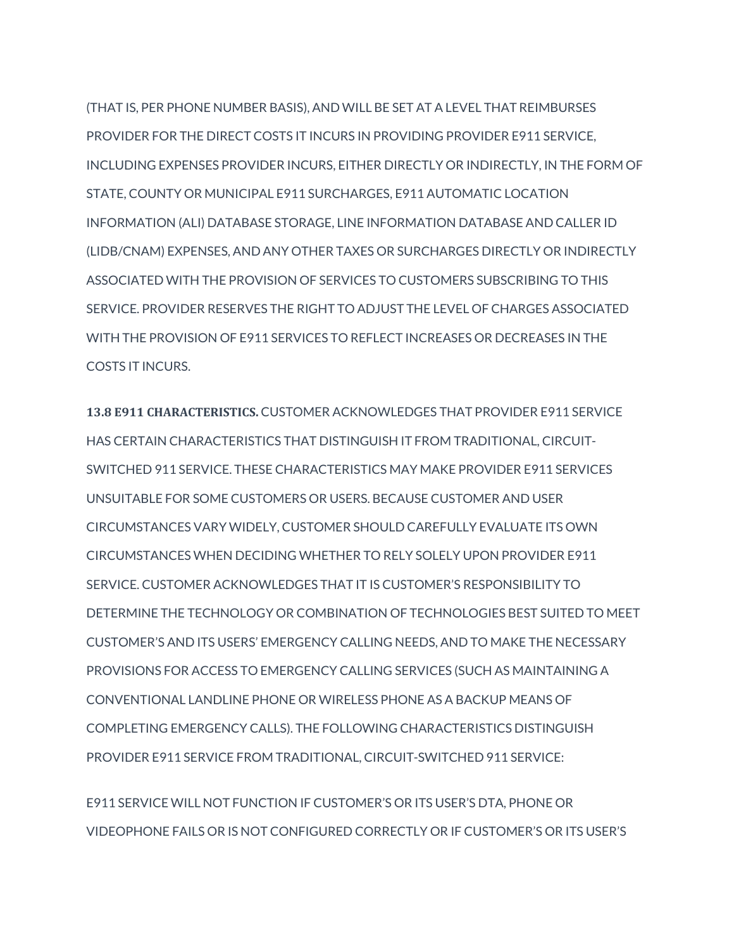(THAT IS, PER PHONE NUMBER BASIS), AND WILL BE SET AT A LEVEL THAT REIMBURSES PROVIDER FOR THE DIRECT COSTS IT INCURS IN PROVIDING PROVIDER E911 SERVICE, INCLUDING EXPENSES PROVIDER INCURS, EITHER DIRECTLY OR INDIRECTLY, IN THE FORM OF STATE, COUNTY OR MUNICIPAL E911 SURCHARGES, E911 AUTOMATIC LOCATION INFORMATION (ALI) DATABASE STORAGE, LINE INFORMATION DATABASE AND CALLER ID (LIDB/CNAM) EXPENSES, AND ANY OTHER TAXES OR SURCHARGES DIRECTLY OR INDIRECTLY ASSOCIATED WITH THE PROVISION OF SERVICES TO CUSTOMERS SUBSCRIBING TO THIS SERVICE. PROVIDER RESERVES THE RIGHT TO ADJUST THE LEVEL OF CHARGES ASSOCIATED WITH THE PROVISION OF E911 SERVICES TO REFLECT INCREASES OR DECREASES IN THE COSTS IT INCURS.

**13.8 E911 CHARACTERISTICS.** CUSTOMER ACKNOWLEDGES THAT PROVIDER E911 SERVICE HAS CERTAIN CHARACTERISTICS THAT DISTINGUISH IT FROM TRADITIONAL, CIRCUIT-SWITCHED 911 SERVICE. THESE CHARACTERISTICS MAY MAKE PROVIDER E911 SERVICES UNSUITABLE FOR SOME CUSTOMERS OR USERS. BECAUSE CUSTOMER AND USER CIRCUMSTANCES VARY WIDELY, CUSTOMER SHOULD CAREFULLY EVALUATE ITS OWN CIRCUMSTANCES WHEN DECIDING WHETHER TO RELY SOLELY UPON PROVIDER E911 SERVICE. CUSTOMER ACKNOWLEDGES THAT IT IS CUSTOMER'S RESPONSIBILITY TO DETERMINE THE TECHNOLOGY OR COMBINATION OF TECHNOLOGIES BEST SUITED TO MEET CUSTOMER'S AND ITS USERS' EMERGENCY CALLING NEEDS, AND TO MAKE THE NECESSARY PROVISIONS FOR ACCESS TO EMERGENCY CALLING SERVICES (SUCH AS MAINTAINING A CONVENTIONAL LANDLINE PHONE OR WIRELESS PHONE AS A BACKUP MEANS OF COMPLETING EMERGENCY CALLS). THE FOLLOWING CHARACTERISTICS DISTINGUISH PROVIDER E911 SERVICE FROM TRADITIONAL, CIRCUIT-SWITCHED 911 SERVICE:

E911 SERVICE WILL NOT FUNCTION IF CUSTOMER'S OR ITS USER'S DTA, PHONE OR VIDEOPHONE FAILS OR IS NOT CONFIGURED CORRECTLY OR IF CUSTOMER'S OR ITS USER'S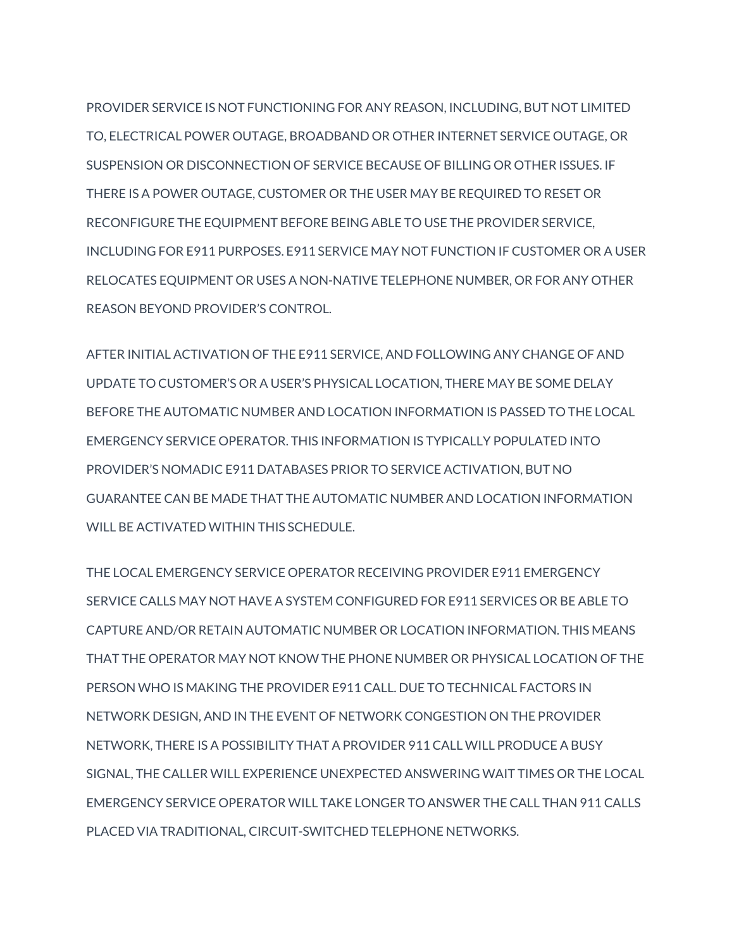PROVIDER SERVICE IS NOT FUNCTIONING FOR ANY REASON, INCLUDING, BUT NOT LIMITED TO, ELECTRICAL POWER OUTAGE, BROADBAND OR OTHER INTERNET SERVICE OUTAGE, OR SUSPENSION OR DISCONNECTION OF SERVICE BECAUSE OF BILLING OR OTHER ISSUES. IF THERE IS A POWER OUTAGE, CUSTOMER OR THE USER MAY BE REQUIRED TO RESET OR RECONFIGURE THE EQUIPMENT BEFORE BEING ABLE TO USE THE PROVIDER SERVICE, INCLUDING FOR E911 PURPOSES. E911 SERVICE MAY NOT FUNCTION IF CUSTOMER OR A USER RELOCATES EQUIPMENT OR USES A NON-NATIVE TELEPHONE NUMBER, OR FOR ANY OTHER REASON BEYOND PROVIDER'S CONTROL.

AFTER INITIAL ACTIVATION OF THE E911 SERVICE, AND FOLLOWING ANY CHANGE OF AND UPDATE TO CUSTOMER'S OR A USER'S PHYSICAL LOCATION, THERE MAY BE SOME DELAY BEFORE THE AUTOMATIC NUMBER AND LOCATION INFORMATION IS PASSED TO THE LOCAL EMERGENCY SERVICE OPERATOR. THIS INFORMATION IS TYPICALLY POPULATED INTO PROVIDER'S NOMADIC E911 DATABASES PRIOR TO SERVICE ACTIVATION, BUT NO GUARANTEE CAN BE MADE THAT THE AUTOMATIC NUMBER AND LOCATION INFORMATION WILL BE ACTIVATED WITHIN THIS SCHEDULE.

THE LOCAL EMERGENCY SERVICE OPERATOR RECEIVING PROVIDER E911 EMERGENCY SERVICE CALLS MAY NOT HAVE A SYSTEM CONFIGURED FOR E911 SERVICES OR BE ABLE TO CAPTURE AND/OR RETAIN AUTOMATIC NUMBER OR LOCATION INFORMATION. THIS MEANS THAT THE OPERATOR MAY NOT KNOW THE PHONE NUMBER OR PHYSICAL LOCATION OF THE PERSON WHO IS MAKING THE PROVIDER E911 CALL. DUE TO TECHNICAL FACTORS IN NETWORK DESIGN, AND IN THE EVENT OF NETWORK CONGESTION ON THE PROVIDER NETWORK, THERE IS A POSSIBILITY THAT A PROVIDER 911 CALL WILL PRODUCE A BUSY SIGNAL, THE CALLER WILL EXPERIENCE UNEXPECTED ANSWERING WAIT TIMES OR THE LOCAL EMERGENCY SERVICE OPERATOR WILL TAKE LONGER TO ANSWER THE CALL THAN 911 CALLS PLACED VIA TRADITIONAL, CIRCUIT-SWITCHED TELEPHONE NETWORKS.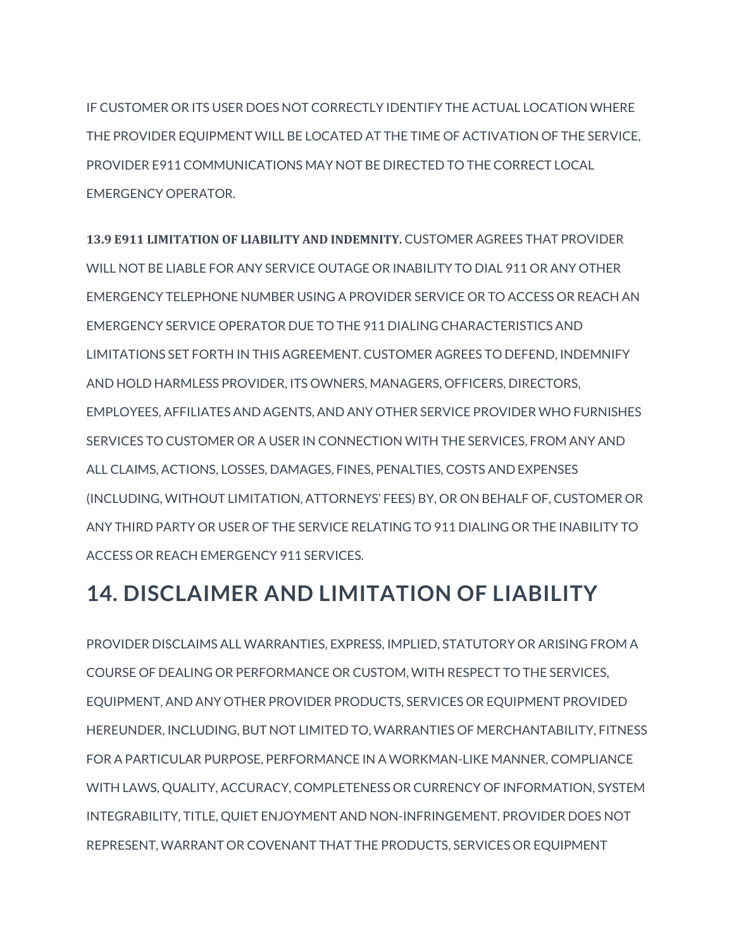IF CUSTOMER OR ITS USER DOES NOT CORRECTLY IDENTIFY THE ACTUAL LOCATION WHERE THE PROVIDER EQUIPMENT WILL BE LOCATED AT THE TIME OF ACTIVATION OF THE SERVICE, PROVIDER E911 COMMUNICATIONS MAY NOT BE DIRECTED TO THE CORRECT LOCAL EMERGENCY OPERATOR.

**13.9 E911 LIMITATION OF LIABILITY AND INDEMNITY.** CUSTOMER AGREES THAT PROVIDER WILL NOT BE LIABLE FOR ANY SERVICE OUTAGE OR INABILITY TO DIAL 911 OR ANY OTHER EMERGENCY TELEPHONE NUMBER USING A PROVIDER SERVICE OR TO ACCESS OR REACH AN EMERGENCY SERVICE OPERATOR DUE TO THE 911 DIALING CHARACTERISTICS AND LIMITATIONS SET FORTH IN THIS AGREEMENT. CUSTOMER AGREES TO DEFEND, INDEMNIFY AND HOLD HARMLESS PROVIDER, ITS OWNERS, MANAGERS, OFFICERS, DIRECTORS, EMPLOYEES, AFFILIATES AND AGENTS, AND ANY OTHER SERVICE PROVIDER WHO FURNISHES SERVICES TO CUSTOMER OR A USER IN CONNECTION WITH THE SERVICES, FROM ANY AND ALL CLAIMS, ACTIONS, LOSSES, DAMAGES, FINES, PENALTIES, COSTS AND EXPENSES (INCLUDING, WITHOUT LIMITATION, ATTORNEYS' FEES) BY, OR ON BEHALF OF, CUSTOMER OR ANY THIRD PARTY OR USER OF THE SERVICE RELATING TO 911 DIALING OR THE INABILITY TO ACCESS OR REACH EMERGENCY 911 SERVICES.

## **14. DISCLAIMER AND LIMITATION OF LIABILITY**

PROVIDER DISCLAIMS ALL WARRANTIES, EXPRESS, IMPLIED, STATUTORY OR ARISING FROM A COURSE OF DEALING OR PERFORMANCE OR CUSTOM, WITH RESPECT TO THE SERVICES, EQUIPMENT, AND ANY OTHER PROVIDER PRODUCTS, SERVICES OR EQUIPMENT PROVIDED HEREUNDER, INCLUDING, BUT NOT LIMITED TO, WARRANTIES OF MERCHANTABILITY, FITNESS FOR A PARTICULAR PURPOSE, PERFORMANCE IN A WORKMAN-LIKE MANNER, COMPLIANCE WITH LAWS, QUALITY, ACCURACY, COMPLETENESS OR CURRENCY OF INFORMATION, SYSTEM INTEGRABILITY, TITLE, QUIET ENJOYMENT AND NON-INFRINGEMENT. PROVIDER DOES NOT REPRESENT, WARRANT OR COVENANT THAT THE PRODUCTS, SERVICES OR EQUIPMENT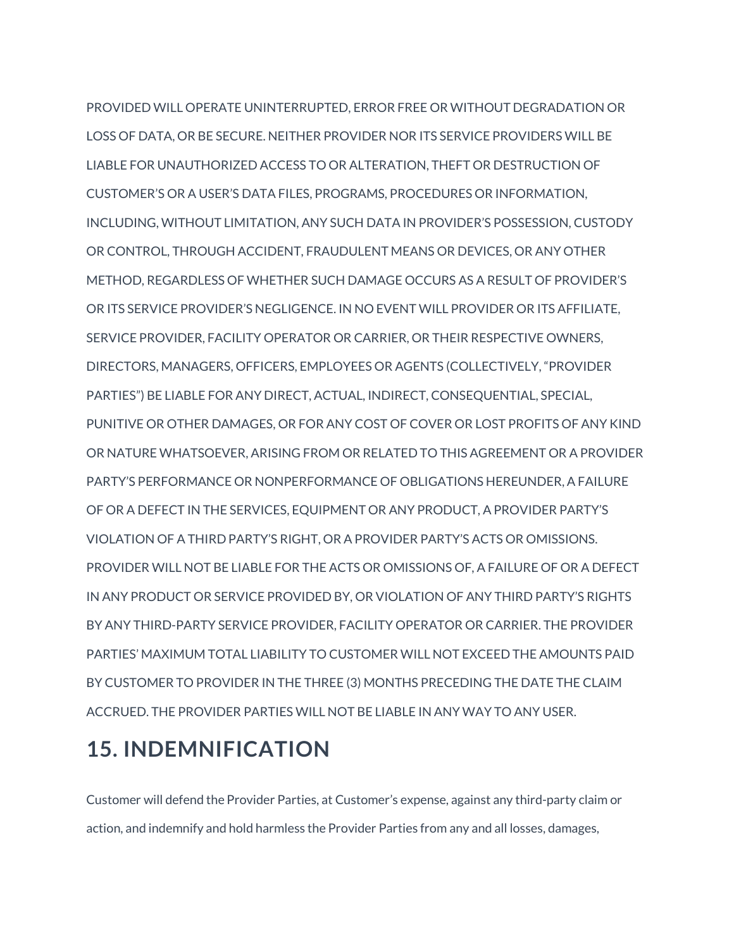PROVIDED WILL OPERATE UNINTERRUPTED, ERROR FREE OR WITHOUT DEGRADATION OR LOSS OF DATA, OR BE SECURE. NEITHER PROVIDER NOR ITS SERVICE PROVIDERS WILL BE LIABLE FOR UNAUTHORIZED ACCESS TO OR ALTERATION, THEFT OR DESTRUCTION OF CUSTOMER'S OR A USER'S DATA FILES, PROGRAMS, PROCEDURES OR INFORMATION, INCLUDING, WITHOUT LIMITATION, ANY SUCH DATA IN PROVIDER'S POSSESSION, CUSTODY OR CONTROL, THROUGH ACCIDENT, FRAUDULENT MEANS OR DEVICES, OR ANY OTHER METHOD, REGARDLESS OF WHETHER SUCH DAMAGE OCCURS AS A RESULT OF PROVIDER'S OR ITS SERVICE PROVIDER'S NEGLIGENCE. IN NO EVENT WILL PROVIDER OR ITS AFFILIATE, SERVICE PROVIDER, FACILITY OPERATOR OR CARRIER, OR THEIR RESPECTIVE OWNERS, DIRECTORS, MANAGERS, OFFICERS, EMPLOYEES OR AGENTS (COLLECTIVELY, "PROVIDER PARTIES") BE LIABLE FOR ANY DIRECT, ACTUAL, INDIRECT, CONSEQUENTIAL, SPECIAL, PUNITIVE OR OTHER DAMAGES, OR FOR ANY COST OF COVER OR LOST PROFITS OF ANY KIND OR NATURE WHATSOEVER, ARISING FROM OR RELATED TO THIS AGREEMENT OR A PROVIDER PARTY'S PERFORMANCE OR NONPERFORMANCE OF OBLIGATIONS HEREUNDER, A FAILURE OF OR A DEFECT IN THE SERVICES, EQUIPMENT OR ANY PRODUCT, A PROVIDER PARTY'S VIOLATION OF A THIRD PARTY'S RIGHT, OR A PROVIDER PARTY'S ACTS OR OMISSIONS. PROVIDER WILL NOT BE LIABLE FOR THE ACTS OR OMISSIONS OF, A FAILURE OF OR A DEFECT IN ANY PRODUCT OR SERVICE PROVIDED BY, OR VIOLATION OF ANY THIRD PARTY'S RIGHTS BY ANY THIRD-PARTY SERVICE PROVIDER, FACILITY OPERATOR OR CARRIER. THE PROVIDER PARTIES' MAXIMUM TOTAL LIABILITY TO CUSTOMER WILL NOT EXCEED THE AMOUNTS PAID BY CUSTOMER TO PROVIDER IN THE THREE (3) MONTHS PRECEDING THE DATE THE CLAIM ACCRUED. THE PROVIDER PARTIES WILL NOT BE LIABLE IN ANY WAY TO ANY USER.

## **15. INDEMNIFICATION**

Customer will defend the Provider Parties, at Customer's expense, against any third-party claim or action, and indemnify and hold harmless the Provider Parties from any and all losses, damages,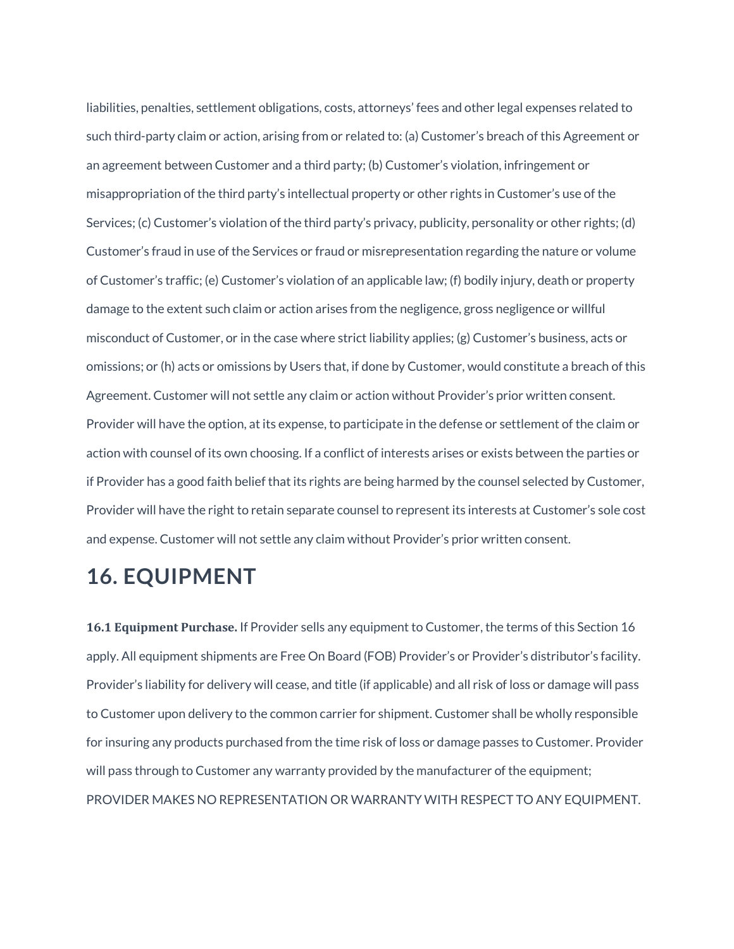liabilities, penalties, settlement obligations, costs, attorneys' fees and other legal expenses related to such third-party claim or action, arising from or related to: (a) Customer's breach of this Agreement or an agreement between Customer and a third party; (b) Customer's violation, infringement or misappropriation of the third party's intellectual property or other rights in Customer's use of the Services; (c) Customer's violation of the third party's privacy, publicity, personality or other rights; (d) Customer's fraud in use of the Services or fraud or misrepresentation regarding the nature or volume of Customer's traffic; (e) Customer's violation of an applicable law; (f) bodily injury, death or property damage to the extent such claim or action arises from the negligence, gross negligence or willful misconduct of Customer, or in the case where strict liability applies; (g) Customer's business, acts or omissions; or (h) acts or omissions by Users that, if done by Customer, would constitute a breach of this Agreement. Customer will not settle any claim or action without Provider's prior written consent. Provider will have the option, at its expense, to participate in the defense or settlement of the claim or action with counsel of its own choosing. If a conflict of interests arises or exists between the parties or if Provider has a good faith belief that its rights are being harmed by the counsel selected by Customer, Provider will have the right to retain separate counsel to represent its interests at Customer's sole cost and expense. Customer will not settle any claim without Provider's prior written consent.

## **16. EQUIPMENT**

**16.1 Equipment Purchase.** If Provider sells any equipment to Customer, the terms of this Section 16 apply. All equipment shipments are Free On Board (FOB) Provider's or Provider's distributor's facility. Provider's liability for delivery will cease, and title (if applicable) and all risk of loss or damage will pass to Customer upon delivery to the common carrier for shipment. Customer shall be wholly responsible for insuring any products purchased from the time risk of loss or damage passes to Customer. Provider will pass through to Customer any warranty provided by the manufacturer of the equipment; PROVIDER MAKES NO REPRESENTATION OR WARRANTY WITH RESPECT TO ANY EQUIPMENT.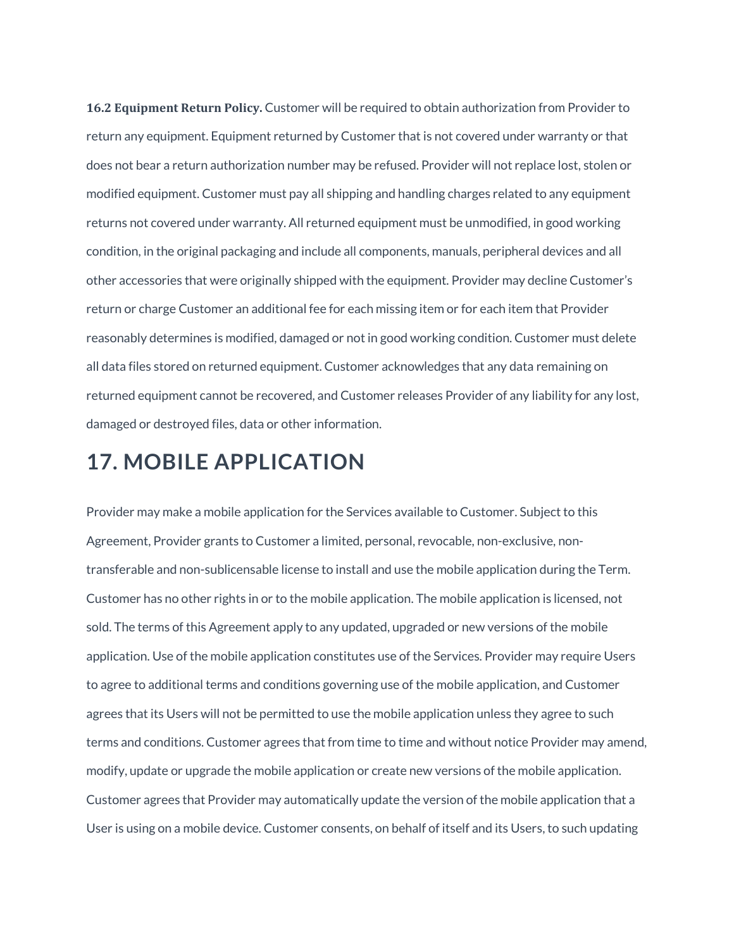**16.2 Equipment Return Policy.** Customer will be required to obtain authorization from Provider to return any equipment. Equipment returned by Customer that is not covered under warranty or that does not bear a return authorization number may be refused. Provider will not replace lost, stolen or modified equipment. Customer must pay all shipping and handling charges related to any equipment returns not covered under warranty. All returned equipment must be unmodified, in good working condition, in the original packaging and include all components, manuals, peripheral devices and all other accessories that were originally shipped with the equipment. Provider may decline Customer's return or charge Customer an additional fee for each missing item or for each item that Provider reasonably determines is modified, damaged or not in good working condition. Customer must delete all data files stored on returned equipment. Customer acknowledges that any data remaining on returned equipment cannot be recovered, and Customer releases Provider of any liability for any lost, damaged or destroyed files, data or other information.

#### **17. MOBILE APPLICATION**

Provider may make a mobile application for the Services available to Customer. Subject to this Agreement, Provider grants to Customer a limited, personal, revocable, non-exclusive, nontransferable and non-sublicensable license to install and use the mobile application during the Term. Customer has no other rights in or to the mobile application. The mobile application is licensed, not sold. The terms of this Agreement apply to any updated, upgraded or new versions of the mobile application. Use of the mobile application constitutes use of the Services. Provider may require Users to agree to additional terms and conditions governing use of the mobile application, and Customer agrees that its Users will not be permitted to use the mobile application unless they agree to such terms and conditions. Customer agrees that from time to time and without notice Provider may amend, modify, update or upgrade the mobile application or create new versions of the mobile application. Customer agrees that Provider may automatically update the version of the mobile application that a User is using on a mobile device. Customer consents, on behalf of itself and its Users, to such updating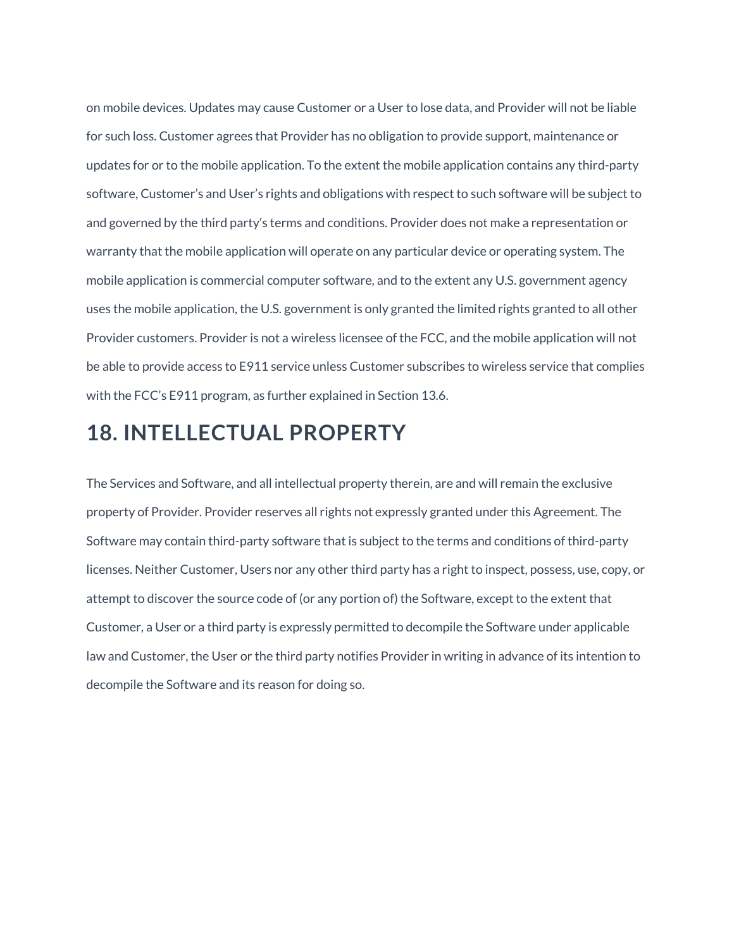on mobile devices. Updates may cause Customer or a User to lose data, and Provider will not be liable for such loss. Customer agrees that Provider has no obligation to provide support, maintenance or updates for or to the mobile application. To the extent the mobile application contains any third-party software, Customer's and User's rights and obligations with respect to such software will be subject to and governed by the third party's terms and conditions. Provider does not make a representation or warranty that the mobile application will operate on any particular device or operating system. The mobile application is commercial computer software, and to the extent any U.S. government agency uses the mobile application, the U.S. government is only granted the limited rights granted to all other Provider customers. Provider is not a wireless licensee of the FCC, and the mobile application will not be able to provide access to E911 service unless Customer subscribes to wireless service that complies with the FCC's E911 program, as further explained in Section 13.6.

#### **18. INTELLECTUAL PROPERTY**

The Services and Software, and all intellectual property therein, are and will remain the exclusive property of Provider. Provider reserves all rights not expressly granted under this Agreement. The Software may contain third-party software that is subject to the terms and conditions of third-party licenses. Neither Customer, Users nor any other third party has a right to inspect, possess, use, copy, or attempt to discover the source code of (or any portion of) the Software, except to the extent that Customer, a User or a third party is expressly permitted to decompile the Software under applicable law and Customer, the User or the third party notifies Provider in writing in advance of its intention to decompile the Software and its reason for doing so.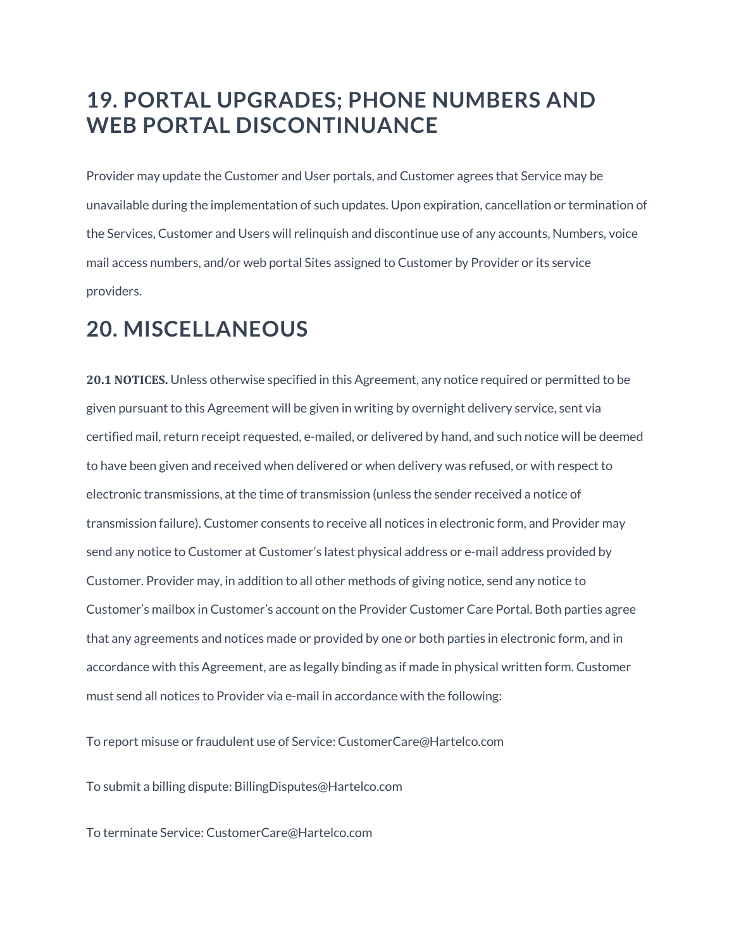## **19. PORTAL UPGRADES; PHONE NUMBERS AND WEB PORTAL DISCONTINUANCE**

Provider may update the Customer and User portals, and Customer agrees that Service may be unavailable during the implementation of such updates. Upon expiration, cancellation or termination of the Services, Customer and Users will relinquish and discontinue use of any accounts, Numbers, voice mail access numbers, and/or web portal Sites assigned to Customer by Provider or its service providers.

### **20. MISCELLANEOUS**

**20.1 NOTICES.** Unless otherwise specified in this Agreement, any notice required or permitted to be given pursuant to this Agreement will be given in writing by overnight delivery service, sent via certified mail, return receipt requested, e-mailed, or delivered by hand, and such notice will be deemed to have been given and received when delivered or when delivery was refused, or with respect to electronic transmissions, at the time of transmission (unless the sender received a notice of transmission failure). Customer consents to receive all notices in electronic form, and Provider may send any notice to Customer at Customer's latest physical address or e-mail address provided by Customer. Provider may, in addition to all other methods of giving notice, send any notice to Customer's mailbox in Customer's account on the Provider Customer Care Portal. Both parties agree that any agreements and notices made or provided by one or both parties in electronic form, and in accordance with this Agreement, are as legally binding as if made in physical written form. Customer must send all notices to Provider via e-mail in accordance with the following:

To report misuse or fraudulent use of Service: CustomerCare@Hartelco.com

To submit a billing dispute: BillingDisputes@Hartelco.com

To terminate Service: CustomerCare@Hartelco.com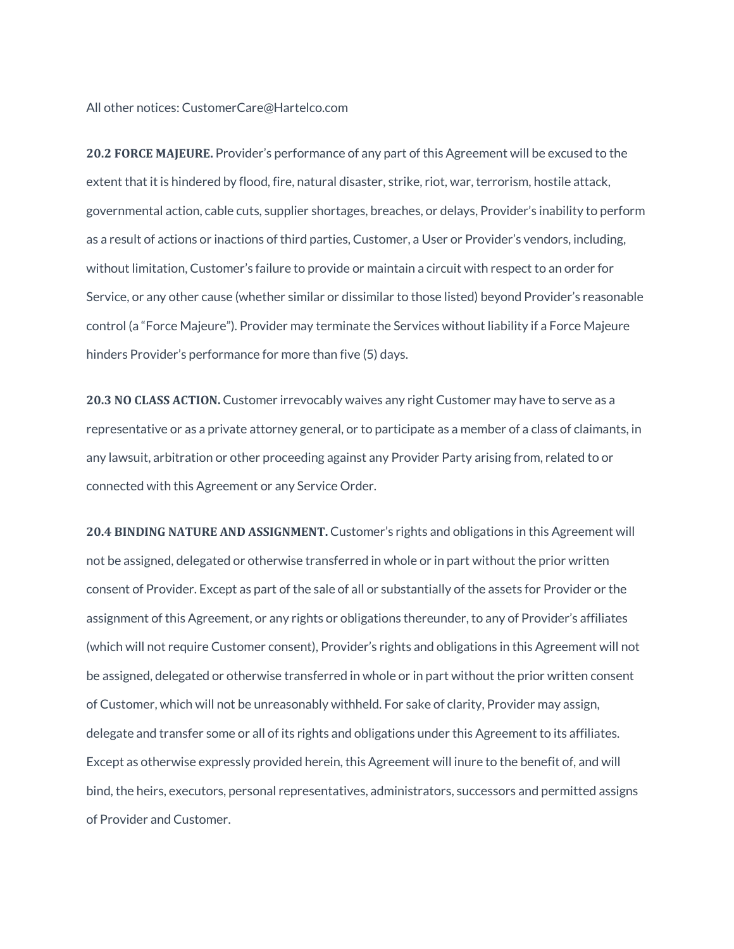All other notices: CustomerCare@Hartelco.com

**20.2 FORCE MAJEURE.** Provider's performance of any part of this Agreement will be excused to the extent that it is hindered by flood, fire, natural disaster, strike, riot, war, terrorism, hostile attack, governmental action, cable cuts, supplier shortages, breaches, or delays, Provider's inability to perform as a result of actions or inactions of third parties, Customer, a User or Provider's vendors, including, without limitation, Customer's failure to provide or maintain a circuit with respect to an order for Service, or any other cause (whether similar or dissimilar to those listed) beyond Provider's reasonable control (a "Force Majeure"). Provider may terminate the Services without liability if a Force Majeure hinders Provider's performance for more than five (5) days.

**20.3 NO CLASS ACTION.** Customer irrevocably waives any right Customer may have to serve as a representative or as a private attorney general, or to participate as a member of a class of claimants, in any lawsuit, arbitration or other proceeding against any Provider Party arising from, related to or connected with this Agreement or any Service Order.

**20.4 BINDING NATURE AND ASSIGNMENT.** Customer's rights and obligations in this Agreement will not be assigned, delegated or otherwise transferred in whole or in part without the prior written consent of Provider. Except as part of the sale of all or substantially of the assets for Provider or the assignment of this Agreement, or any rights or obligations thereunder, to any of Provider's affiliates (which will not require Customer consent), Provider's rights and obligations in this Agreement will not be assigned, delegated or otherwise transferred in whole or in part without the prior written consent of Customer, which will not be unreasonably withheld. For sake of clarity, Provider may assign, delegate and transfer some or all of its rights and obligations under this Agreement to its affiliates. Except as otherwise expressly provided herein, this Agreement will inure to the benefit of, and will bind, the heirs, executors, personal representatives, administrators, successors and permitted assigns of Provider and Customer.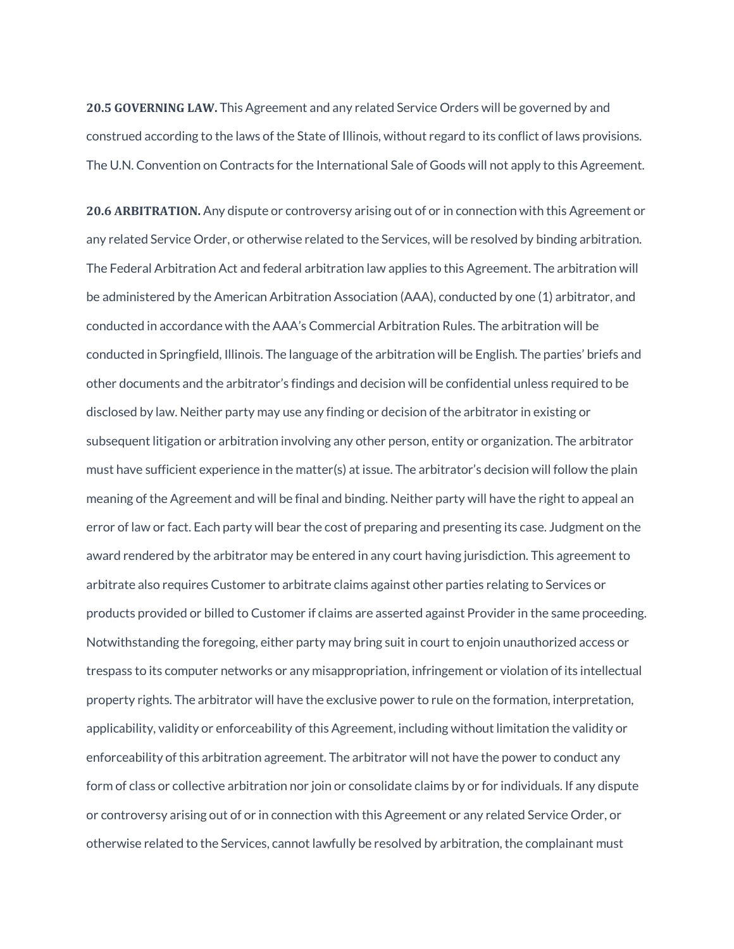**20.5 GOVERNING LAW.** This Agreement and any related Service Orders will be governed by and construed according to the laws of the State of Illinois, without regard to its conflict of laws provisions. The U.N. Convention on Contracts for the International Sale of Goods will not apply to this Agreement.

**20.6 ARBITRATION.** Any dispute or controversy arising out of or in connection with this Agreement or any related Service Order, or otherwise related to the Services, will be resolved by binding arbitration. The Federal Arbitration Act and federal arbitration law applies to this Agreement. The arbitration will be administered by the American Arbitration Association (AAA), conducted by one (1) arbitrator, and conducted in accordance with the AAA's Commercial Arbitration Rules. The arbitration will be conducted in Springfield, Illinois. The language of the arbitration will be English. The parties' briefs and other documents and the arbitrator's findings and decision will be confidential unless required to be disclosed by law. Neither party may use any finding or decision of the arbitrator in existing or subsequent litigation or arbitration involving any other person, entity or organization. The arbitrator must have sufficient experience in the matter(s) at issue. The arbitrator's decision will follow the plain meaning of the Agreement and will be final and binding. Neither party will have the right to appeal an error of law or fact. Each party will bear the cost of preparing and presenting its case. Judgment on the award rendered by the arbitrator may be entered in any court having jurisdiction. This agreement to arbitrate also requires Customer to arbitrate claims against other parties relating to Services or products provided or billed to Customer if claims are asserted against Provider in the same proceeding. Notwithstanding the foregoing, either party may bring suit in court to enjoin unauthorized access or trespass to its computer networks or any misappropriation, infringement or violation of its intellectual property rights. The arbitrator will have the exclusive power to rule on the formation, interpretation, applicability, validity or enforceability of this Agreement, including without limitation the validity or enforceability of this arbitration agreement. The arbitrator will not have the power to conduct any form of class or collective arbitration nor join or consolidate claims by or for individuals. If any dispute or controversy arising out of or in connection with this Agreement or any related Service Order, or otherwise related to the Services, cannot lawfully be resolved by arbitration, the complainant must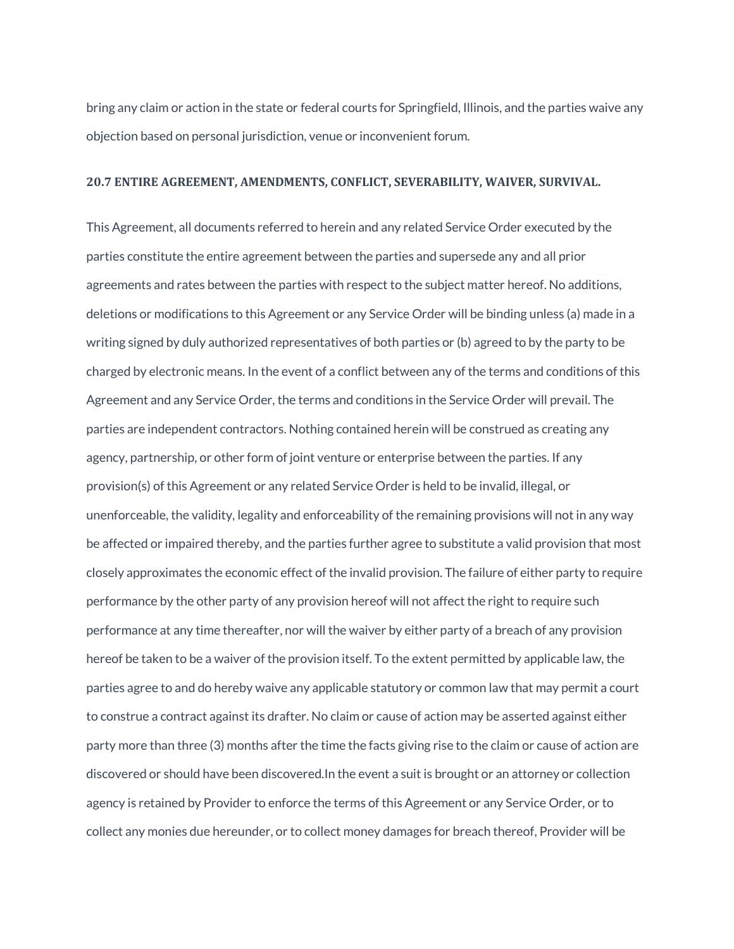bring any claim or action in the state or federal courts for Springfield, Illinois, and the parties waive any objection based on personal jurisdiction, venue or inconvenient forum.

#### **20.7 ENTIRE AGREEMENT, AMENDMENTS, CONFLICT, SEVERABILITY, WAIVER, SURVIVAL.**

This Agreement, all documents referred to herein and any related Service Order executed by the parties constitute the entire agreement between the parties and supersede any and all prior agreements and rates between the parties with respect to the subject matter hereof. No additions, deletions or modifications to this Agreement or any Service Order will be binding unless (a) made in a writing signed by duly authorized representatives of both parties or (b) agreed to by the party to be charged by electronic means. In the event of a conflict between any of the terms and conditions of this Agreement and any Service Order, the terms and conditions in the Service Order will prevail. The parties are independent contractors. Nothing contained herein will be construed as creating any agency, partnership, or other form of joint venture or enterprise between the parties. If any provision(s) of this Agreement or any related Service Order is held to be invalid, illegal, or unenforceable, the validity, legality and enforceability of the remaining provisions will not in any way be affected or impaired thereby, and the parties further agree to substitute a valid provision that most closely approximates the economic effect of the invalid provision. The failure of either party to require performance by the other party of any provision hereof will not affect the right to require such performance at any time thereafter, nor will the waiver by either party of a breach of any provision hereof be taken to be a waiver of the provision itself. To the extent permitted by applicable law, the parties agree to and do hereby waive any applicable statutory or common law that may permit a court to construe a contract against its drafter. No claim or cause of action may be asserted against either party more than three (3) months after the time the facts giving rise to the claim or cause of action are discovered or should have been discovered.In the event a suit is brought or an attorney or collection agency is retained by Provider to enforce the terms of this Agreement or any Service Order, or to collect any monies due hereunder, or to collect money damages for breach thereof, Provider will be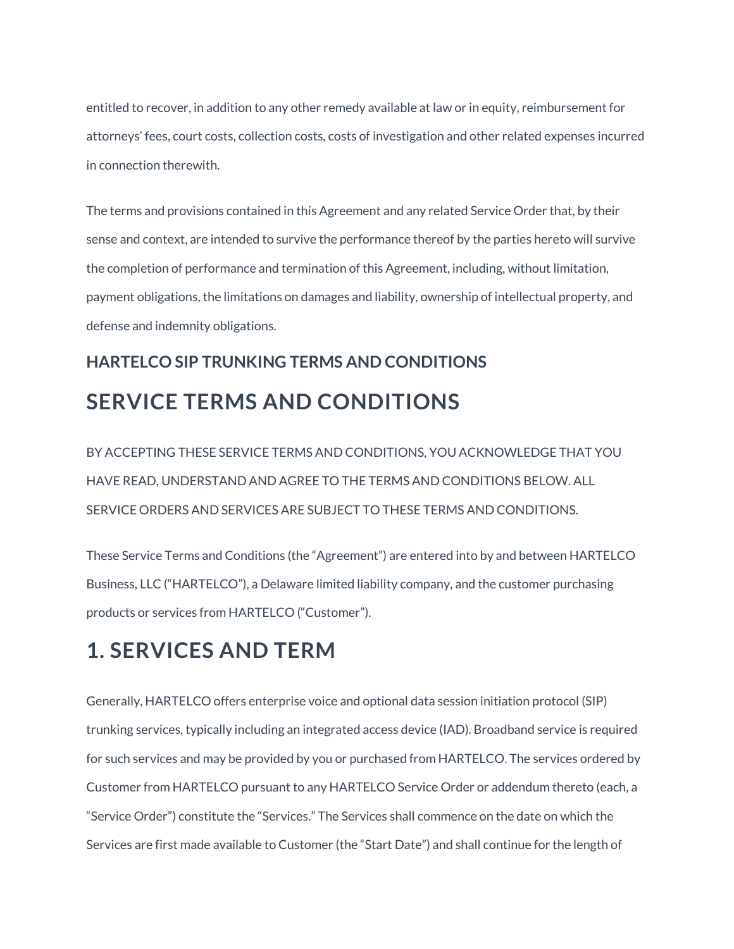entitled to recover, in addition to any other remedy available at law or in equity, reimbursement for attorneys' fees, court costs, collection costs, costs of investigation and other related expenses incurred in connection therewith.

The terms and provisions contained in this Agreement and any related Service Order that, by their sense and context, are intended to survive the performance thereof by the parties hereto will survive the completion of performance and termination of this Agreement, including, without limitation, payment obligations, the limitations on damages and liability, ownership of intellectual property, and defense and indemnity obligations.

## **HARTELCO SIP TRUNKING TERMS AND CONDITIONS SERVICE TERMS AND CONDITIONS**

BY ACCEPTING THESE SERVICE TERMS AND CONDITIONS, YOU ACKNOWLEDGE THAT YOU HAVE READ, UNDERSTAND AND AGREE TO THE TERMS AND CONDITIONS BELOW. ALL SERVICE ORDERS AND SERVICES ARE SUBJECT TO THESE TERMS AND CONDITIONS.

These Service Terms and Conditions (the "Agreement") are entered into by and between HARTELCO Business, LLC ("HARTELCO"), a Delaware limited liability company, and the customer purchasing products or services from HARTELCO ("Customer").

## **1. SERVICES AND TERM**

Generally, HARTELCO offers enterprise voice and optional data session initiation protocol (SIP) trunking services, typically including an integrated access device (IAD). Broadband service is required for such services and may be provided by you or purchased from HARTELCO. The services ordered by Customer from HARTELCO pursuant to any HARTELCO Service Order or addendum thereto (each, a "Service Order") constitute the "Services." The Services shall commence on the date on which the Services are first made available to Customer (the "Start Date") and shall continue for the length of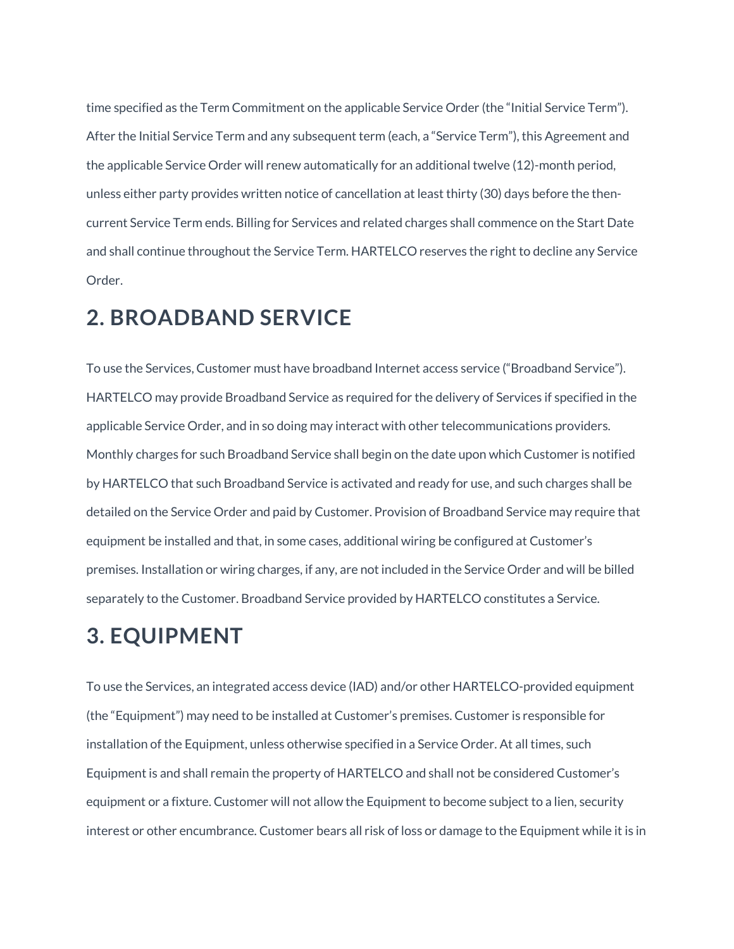time specified as the Term Commitment on the applicable Service Order (the "Initial Service Term"). After the Initial Service Term and any subsequent term (each, a "Service Term"), this Agreement and the applicable Service Order will renew automatically for an additional twelve (12)-month period, unless either party provides written notice of cancellation at least thirty (30) days before the thencurrent Service Term ends. Billing for Services and related charges shall commence on the Start Date and shall continue throughout the Service Term. HARTELCO reserves the right to decline any Service Order.

#### **2. BROADBAND SERVICE**

To use the Services, Customer must have broadband Internet access service ("Broadband Service"). HARTELCO may provide Broadband Service as required for the delivery of Services if specified in the applicable Service Order, and in so doing may interact with other telecommunications providers. Monthly charges for such Broadband Service shall begin on the date upon which Customer is notified by HARTELCO that such Broadband Service is activated and ready for use, and such charges shall be detailed on the Service Order and paid by Customer. Provision of Broadband Service may require that equipment be installed and that, in some cases, additional wiring be configured at Customer's premises. Installation or wiring charges, if any, are not included in the Service Order and will be billed separately to the Customer. Broadband Service provided by HARTELCO constitutes a Service.

## **3. EQUIPMENT**

To use the Services, an integrated access device (IAD) and/or other HARTELCO-provided equipment (the "Equipment") may need to be installed at Customer's premises. Customer is responsible for installation of the Equipment, unless otherwise specified in a Service Order. At all times, such Equipment is and shall remain the property of HARTELCO and shall not be considered Customer's equipment or a fixture. Customer will not allow the Equipment to become subject to a lien, security interest or other encumbrance. Customer bears all risk of loss or damage to the Equipment while it is in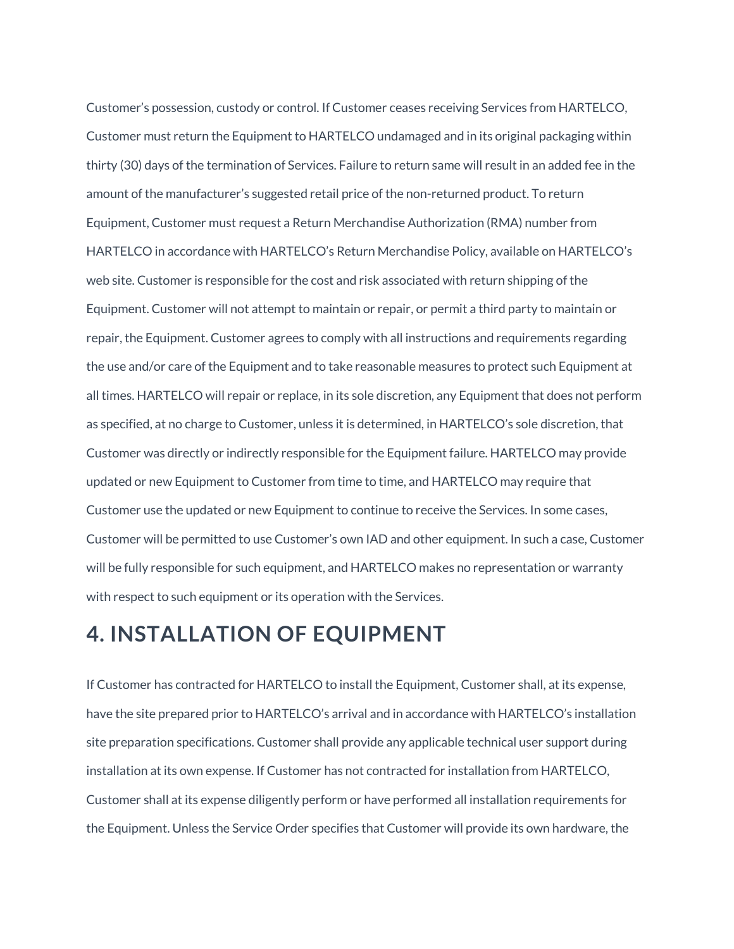Customer's possession, custody or control. If Customer ceases receiving Services from HARTELCO, Customer must return the Equipment to HARTELCO undamaged and in its original packaging within thirty (30) days of the termination of Services. Failure to return same will result in an added fee in the amount of the manufacturer's suggested retail price of the non-returned product. To return Equipment, Customer must request a Return Merchandise Authorization (RMA) number from HARTELCO in accordance with HARTELCO's Return Merchandise Policy, available on HARTELCO's web site. Customer is responsible for the cost and risk associated with return shipping of the Equipment. Customer will not attempt to maintain or repair, or permit a third party to maintain or repair, the Equipment. Customer agrees to comply with all instructions and requirements regarding the use and/or care of the Equipment and to take reasonable measures to protect such Equipment at all times. HARTELCO will repair or replace, in its sole discretion, any Equipment that does not perform as specified, at no charge to Customer, unless it is determined, in HARTELCO's sole discretion, that Customer was directly or indirectly responsible for the Equipment failure. HARTELCO may provide updated or new Equipment to Customer from time to time, and HARTELCO may require that Customer use the updated or new Equipment to continue to receive the Services. In some cases, Customer will be permitted to use Customer's own IAD and other equipment. In such a case, Customer will be fully responsible for such equipment, and HARTELCO makes no representation or warranty with respect to such equipment or its operation with the Services.

#### **4. INSTALLATION OF EQUIPMENT**

If Customer has contracted for HARTELCO to install the Equipment, Customer shall, at its expense, have the site prepared prior to HARTELCO's arrival and in accordance with HARTELCO's installation site preparation specifications. Customer shall provide any applicable technical user support during installation at its own expense. If Customer has not contracted for installation from HARTELCO, Customer shall at its expense diligently perform or have performed all installation requirements for the Equipment. Unless the Service Order specifies that Customer will provide its own hardware, the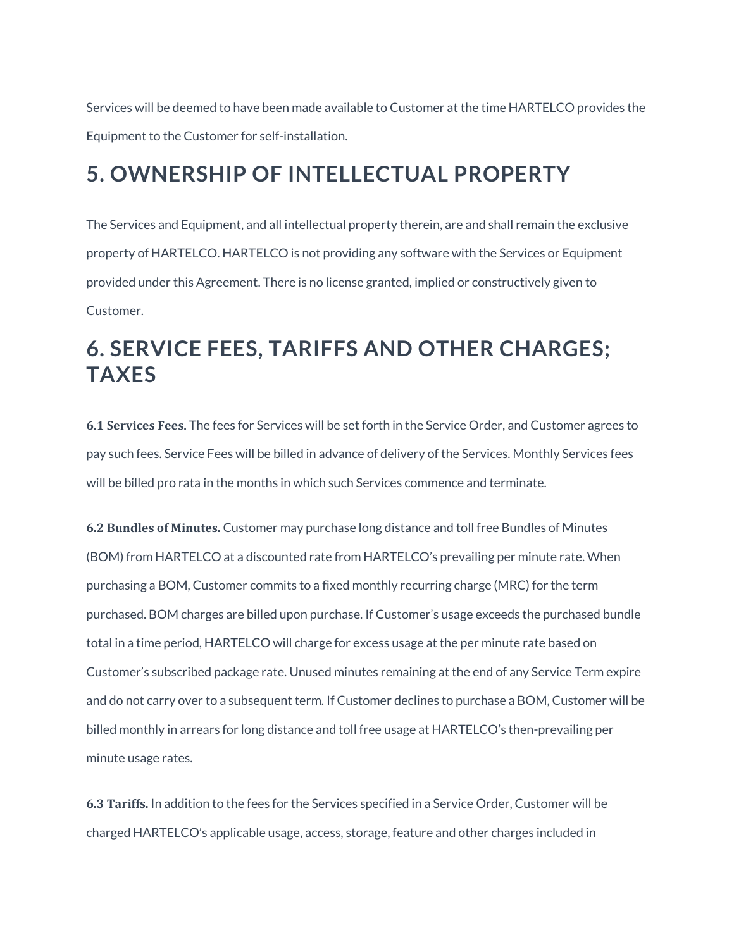Services will be deemed to have been made available to Customer at the time HARTELCO provides the Equipment to the Customer for self-installation.

## **5. OWNERSHIP OF INTELLECTUAL PROPERTY**

The Services and Equipment, and all intellectual property therein, are and shall remain the exclusive property of HARTELCO. HARTELCO is not providing any software with the Services or Equipment provided under this Agreement. There is no license granted, implied or constructively given to Customer.

## **6. SERVICE FEES, TARIFFS AND OTHER CHARGES; TAXES**

**6.1 Services Fees.** The fees for Services will be set forth in the Service Order, and Customer agrees to pay such fees. Service Fees will be billed in advance of delivery of the Services. Monthly Services fees will be billed pro rata in the months in which such Services commence and terminate.

**6.2 Bundles of Minutes.** Customer may purchase long distance and toll free Bundles of Minutes (BOM) from HARTELCO at a discounted rate from HARTELCO's prevailing per minute rate. When purchasing a BOM, Customer commits to a fixed monthly recurring charge (MRC) for the term purchased. BOM charges are billed upon purchase. If Customer's usage exceeds the purchased bundle total in a time period, HARTELCO will charge for excess usage at the per minute rate based on Customer's subscribed package rate. Unused minutes remaining at the end of any Service Term expire and do not carry over to a subsequent term. If Customer declines to purchase a BOM, Customer will be billed monthly in arrears for long distance and toll free usage at HARTELCO's then-prevailing per minute usage rates.

**6.3 Tariffs.** In addition to the fees for the Services specified in a Service Order, Customer will be charged HARTELCO's applicable usage, access, storage, feature and other charges included in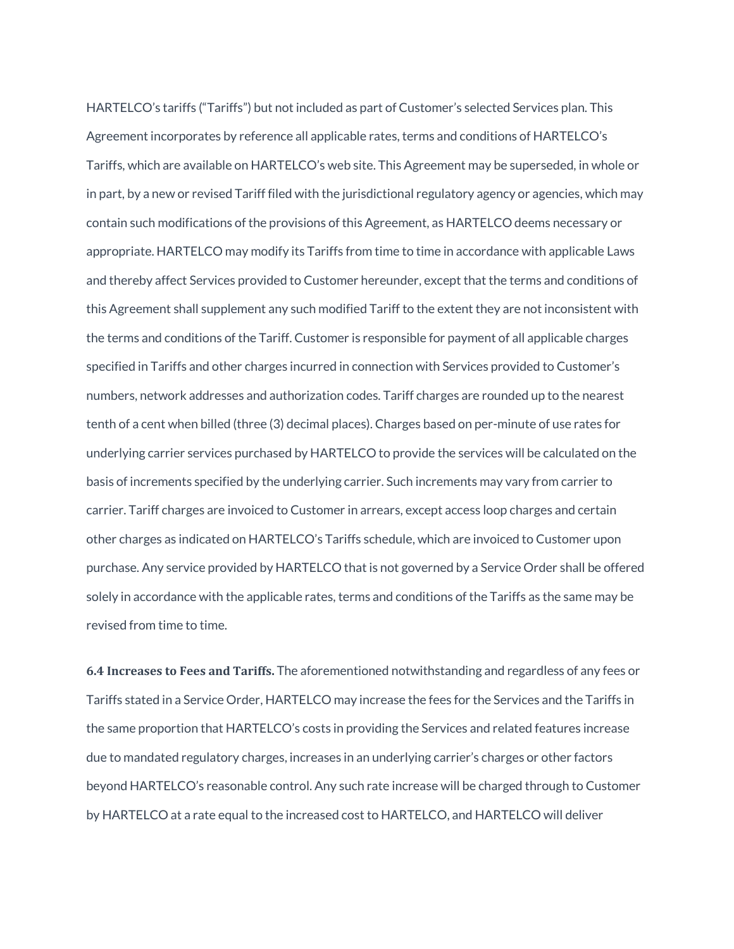HARTELCO's tariffs ("Tariffs") but not included as part of Customer's selected Services plan. This Agreement incorporates by reference all applicable rates, terms and conditions of HARTELCO's Tariffs, which are available on HARTELCO's web site. This Agreement may be superseded, in whole or in part, by a new or revised Tariff filed with the jurisdictional regulatory agency or agencies, which may contain such modifications of the provisions of this Agreement, as HARTELCO deems necessary or appropriate. HARTELCO may modify its Tariffs from time to time in accordance with applicable Laws and thereby affect Services provided to Customer hereunder, except that the terms and conditions of this Agreement shall supplement any such modified Tariff to the extent they are not inconsistent with the terms and conditions of the Tariff. Customer is responsible for payment of all applicable charges specified in Tariffs and other charges incurred in connection with Services provided to Customer's numbers, network addresses and authorization codes. Tariff charges are rounded up to the nearest tenth of a cent when billed (three (3) decimal places). Charges based on per-minute of use rates for underlying carrier services purchased by HARTELCO to provide the services will be calculated on the basis of increments specified by the underlying carrier. Such increments may vary from carrier to carrier. Tariff charges are invoiced to Customer in arrears, except access loop charges and certain other charges as indicated on HARTELCO's Tariffs schedule, which are invoiced to Customer upon purchase. Any service provided by HARTELCO that is not governed by a Service Order shall be offered solely in accordance with the applicable rates, terms and conditions of the Tariffs as the same may be revised from time to time.

**6.4 Increases to Fees and Tariffs.** The aforementioned notwithstanding and regardless of any fees or Tariffs stated in a Service Order, HARTELCO may increase the fees for the Services and the Tariffs in the same proportion that HARTELCO's costs in providing the Services and related features increase due to mandated regulatory charges, increases in an underlying carrier's charges or other factors beyond HARTELCO's reasonable control. Any such rate increase will be charged through to Customer by HARTELCO at a rate equal to the increased cost to HARTELCO, and HARTELCO will deliver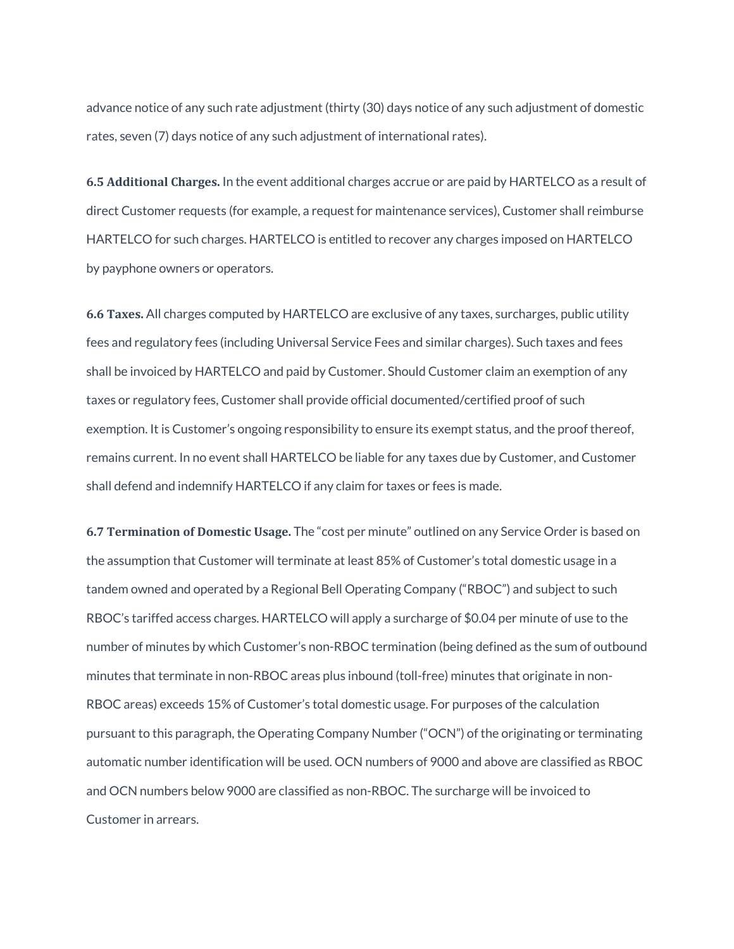advance notice of any such rate adjustment (thirty (30) days notice of any such adjustment of domestic rates, seven (7) days notice of any such adjustment of international rates).

**6.5 Additional Charges.** In the event additional charges accrue or are paid by HARTELCO as a result of direct Customer requests (for example, a request for maintenance services), Customer shall reimburse HARTELCO for such charges. HARTELCO is entitled to recover any charges imposed on HARTELCO by payphone owners or operators.

**6.6 Taxes.** All charges computed by HARTELCO are exclusive of any taxes, surcharges, public utility fees and regulatory fees (including Universal Service Fees and similar charges). Such taxes and fees shall be invoiced by HARTELCO and paid by Customer. Should Customer claim an exemption of any taxes or regulatory fees, Customer shall provide official documented/certified proof of such exemption. It is Customer's ongoing responsibility to ensure its exempt status, and the proof thereof, remains current. In no event shall HARTELCO be liable for any taxes due by Customer, and Customer shall defend and indemnify HARTELCO if any claim for taxes or fees is made.

**6.7 Termination of Domestic Usage.** The "cost per minute" outlined on any Service Order is based on the assumption that Customer will terminate at least 85% of Customer's total domestic usage in a tandem owned and operated by a Regional Bell Operating Company ("RBOC") and subject to such RBOC's tariffed access charges. HARTELCO will apply a surcharge of \$0.04 per minute of use to the number of minutes by which Customer's non-RBOC termination (being defined as the sum of outbound minutes that terminate in non-RBOC areas plus inbound (toll-free) minutes that originate in non-RBOC areas) exceeds 15% of Customer's total domestic usage. For purposes of the calculation pursuant to this paragraph, the Operating Company Number ("OCN") of the originating or terminating automatic number identification will be used. OCN numbers of 9000 and above are classified as RBOC and OCN numbers below 9000 are classified as non-RBOC. The surcharge will be invoiced to Customer in arrears.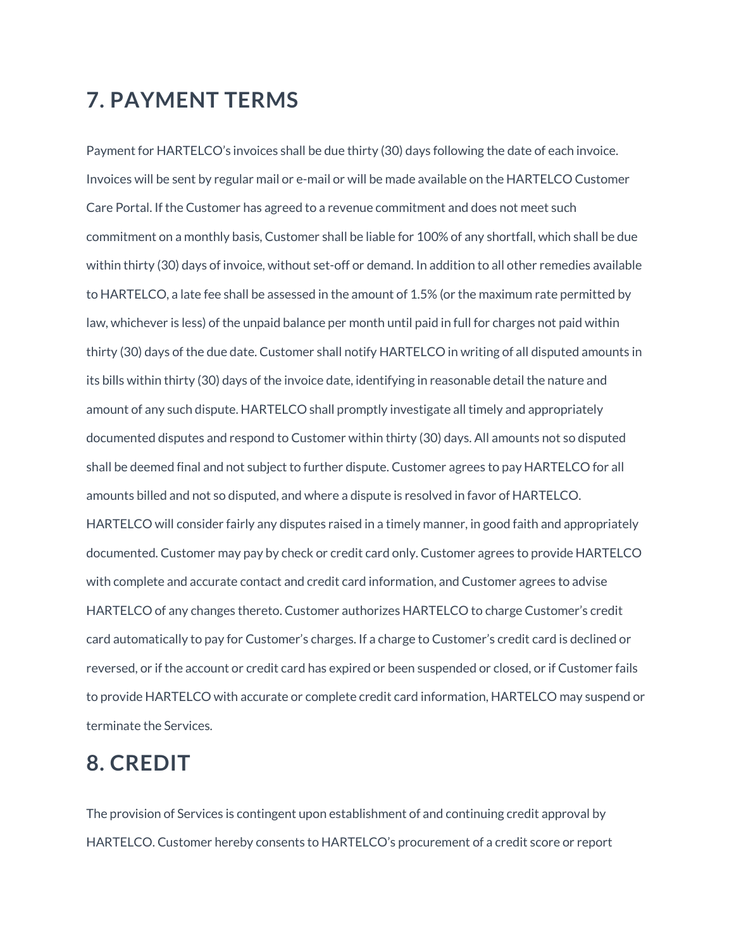### **7. PAYMENT TERMS**

Payment for HARTELCO's invoices shall be due thirty (30) days following the date of each invoice. Invoices will be sent by regular mail or e-mail or will be made available on the HARTELCO Customer Care Portal. If the Customer has agreed to a revenue commitment and does not meet such commitment on a monthly basis, Customer shall be liable for 100% of any shortfall, which shall be due within thirty (30) days of invoice, without set-off or demand. In addition to all other remedies available to HARTELCO, a late fee shall be assessed in the amount of 1.5% (or the maximum rate permitted by law, whichever is less) of the unpaid balance per month until paid in full for charges not paid within thirty (30) days of the due date. Customer shall notify HARTELCO in writing of all disputed amounts in its bills within thirty (30) days of the invoice date, identifying in reasonable detail the nature and amount of any such dispute. HARTELCO shall promptly investigate all timely and appropriately documented disputes and respond to Customer within thirty (30) days. All amounts not so disputed shall be deemed final and not subject to further dispute. Customer agrees to pay HARTELCO for all amounts billed and not so disputed, and where a dispute is resolved in favor of HARTELCO. HARTELCO will consider fairly any disputes raised in a timely manner, in good faith and appropriately documented. Customer may pay by check or credit card only. Customer agrees to provide HARTELCO with complete and accurate contact and credit card information, and Customer agrees to advise HARTELCO of any changes thereto. Customer authorizes HARTELCO to charge Customer's credit card automatically to pay for Customer's charges. If a charge to Customer's credit card is declined or reversed, or if the account or credit card has expired or been suspended or closed, or if Customer fails to provide HARTELCO with accurate or complete credit card information, HARTELCO may suspend or terminate the Services.

### **8. CREDIT**

The provision of Services is contingent upon establishment of and continuing credit approval by HARTELCO. Customer hereby consents to HARTELCO's procurement of a credit score or report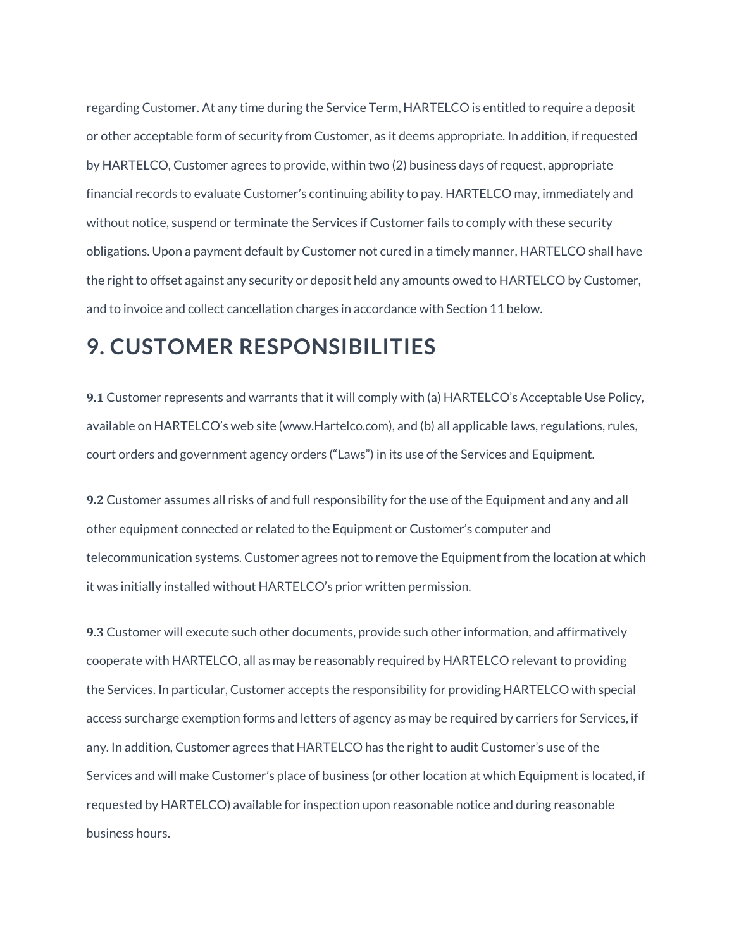regarding Customer. At any time during the Service Term, HARTELCO is entitled to require a deposit or other acceptable form of security from Customer, as it deems appropriate. In addition, if requested by HARTELCO, Customer agrees to provide, within two (2) business days of request, appropriate financial records to evaluate Customer's continuing ability to pay. HARTELCO may, immediately and without notice, suspend or terminate the Services if Customer fails to comply with these security obligations. Upon a payment default by Customer not cured in a timely manner, HARTELCO shall have the right to offset against any security or deposit held any amounts owed to HARTELCO by Customer, and to invoice and collect cancellation charges in accordance with Section 11 below.

#### **9. CUSTOMER RESPONSIBILITIES**

**9.1** Customer represents and warrants that it will comply with (a) HARTELCO's Acceptable Use Policy, available on HARTELCO's web site (www.Hartelco.com), and (b) all applicable laws, regulations, rules, court orders and government agency orders ("Laws") in its use of the Services and Equipment.

**9.2** Customer assumes all risks of and full responsibility for the use of the Equipment and any and all other equipment connected or related to the Equipment or Customer's computer and telecommunication systems. Customer agrees not to remove the Equipment from the location at which it was initially installed without HARTELCO's prior written permission.

**9.3** Customer will execute such other documents, provide such other information, and affirmatively cooperate with HARTELCO, all as may be reasonably required by HARTELCO relevant to providing the Services. In particular, Customer accepts the responsibility for providing HARTELCO with special access surcharge exemption forms and letters of agency as may be required by carriers for Services, if any. In addition, Customer agrees that HARTELCO has the right to audit Customer's use of the Services and will make Customer's place of business (or other location at which Equipment is located, if requested by HARTELCO) available for inspection upon reasonable notice and during reasonable business hours.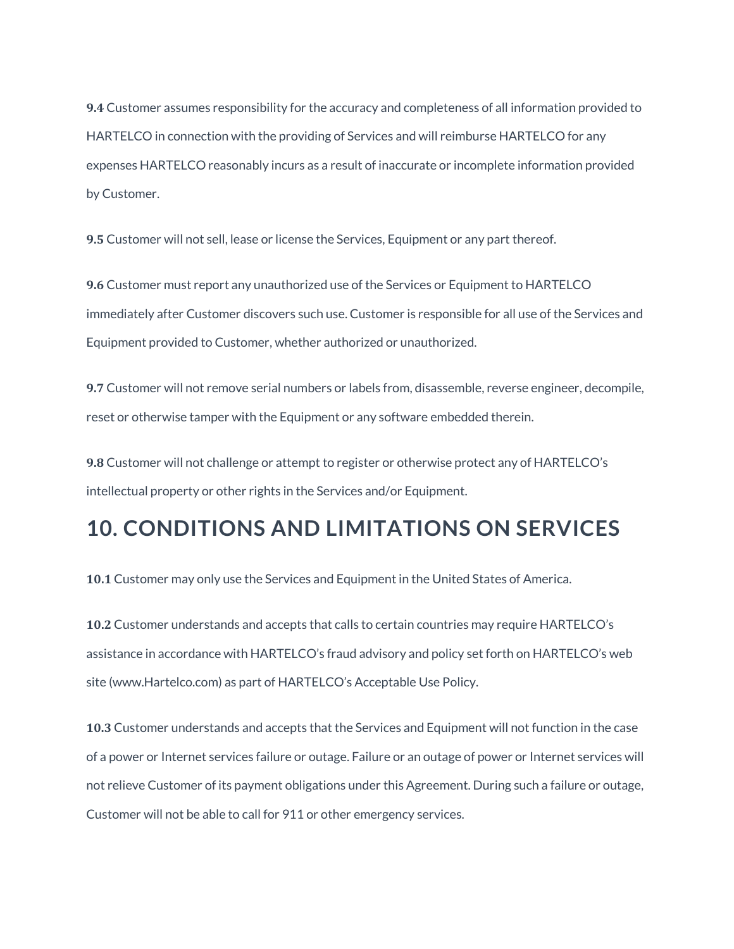**9.4** Customer assumes responsibility for the accuracy and completeness of all information provided to HARTELCO in connection with the providing of Services and will reimburse HARTELCO for any expenses HARTELCO reasonably incurs as a result of inaccurate or incomplete information provided by Customer.

**9.5** Customer will not sell, lease or license the Services, Equipment or any part thereof.

**9.6** Customer must report any unauthorized use of the Services or Equipment to HARTELCO immediately after Customer discovers such use. Customer is responsible for all use of the Services and Equipment provided to Customer, whether authorized or unauthorized.

**9.7** Customer will not remove serial numbers or labels from, disassemble, reverse engineer, decompile, reset or otherwise tamper with the Equipment or any software embedded therein.

**9.8** Customer will not challenge or attempt to register or otherwise protect any of HARTELCO's intellectual property or other rights in the Services and/or Equipment.

### **10. CONDITIONS AND LIMITATIONS ON SERVICES**

**10.1** Customer may only use the Services and Equipment in the United States of America.

**10.2** Customer understands and accepts that calls to certain countries may require HARTELCO's assistance in accordance with HARTELCO's fraud advisory and policy set forth on HARTELCO's web site (www.Hartelco.com) as part of HARTELCO's Acceptable Use Policy.

**10.3** Customer understands and accepts that the Services and Equipment will not function in the case of a power or Internet services failure or outage. Failure or an outage of power or Internet services will not relieve Customer of its payment obligations under this Agreement. During such a failure or outage, Customer will not be able to call for 911 or other emergency services.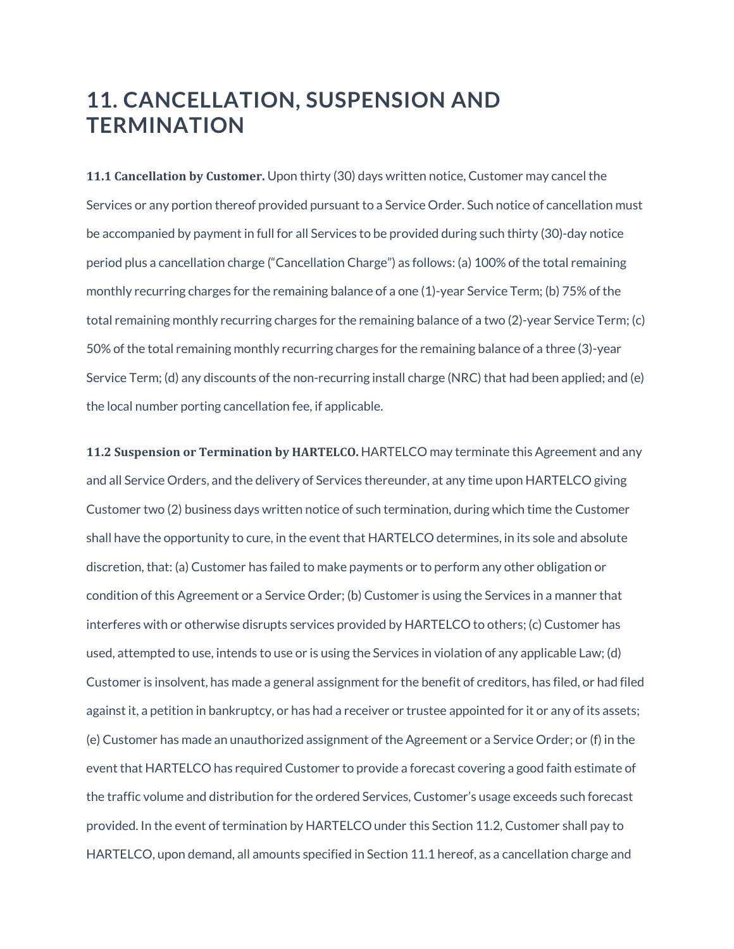### **11. CANCELLATION, SUSPENSION AND TERMINATION**

**11.1 Cancellation by Customer.** Upon thirty (30) days written notice, Customer may cancel the Services or any portion thereof provided pursuant to a Service Order. Such notice of cancellation must be accompanied by payment in full for all Services to be provided during such thirty (30)-day notice period plus a cancellation charge ("Cancellation Charge") as follows: (a) 100% of the total remaining monthly recurring charges for the remaining balance of a one (1)-year Service Term; (b) 75% of the total remaining monthly recurring charges for the remaining balance of a two (2)-year Service Term; (c) 50% of the total remaining monthly recurring charges for the remaining balance of a three (3)-year Service Term; (d) any discounts of the non-recurring install charge (NRC) that had been applied; and (e) the local number porting cancellation fee, if applicable.

**11.2 Suspension or Termination by HARTELCO.** HARTELCO may terminate this Agreement and any and all Service Orders, and the delivery of Services thereunder, at any time upon HARTELCO giving Customer two (2) business days written notice of such termination, during which time the Customer shall have the opportunity to cure, in the event that HARTELCO determines, in its sole and absolute discretion, that: (a) Customer has failed to make payments or to perform any other obligation or condition of this Agreement or a Service Order; (b) Customer is using the Services in a manner that interferes with or otherwise disrupts services provided by HARTELCO to others; (c) Customer has used, attempted to use, intends to use or is using the Services in violation of any applicable Law; (d) Customer is insolvent, has made a general assignment for the benefit of creditors, has filed, or had filed against it, a petition in bankruptcy, or has had a receiver or trustee appointed for it or any of its assets; (e) Customer has made an unauthorized assignment of the Agreement or a Service Order; or (f) in the event that HARTELCO has required Customer to provide a forecast covering a good faith estimate of the traffic volume and distribution for the ordered Services, Customer's usage exceeds such forecast provided. In the event of termination by HARTELCO under this Section 11.2, Customer shall pay to HARTELCO, upon demand, all amounts specified in Section 11.1 hereof, as a cancellation charge and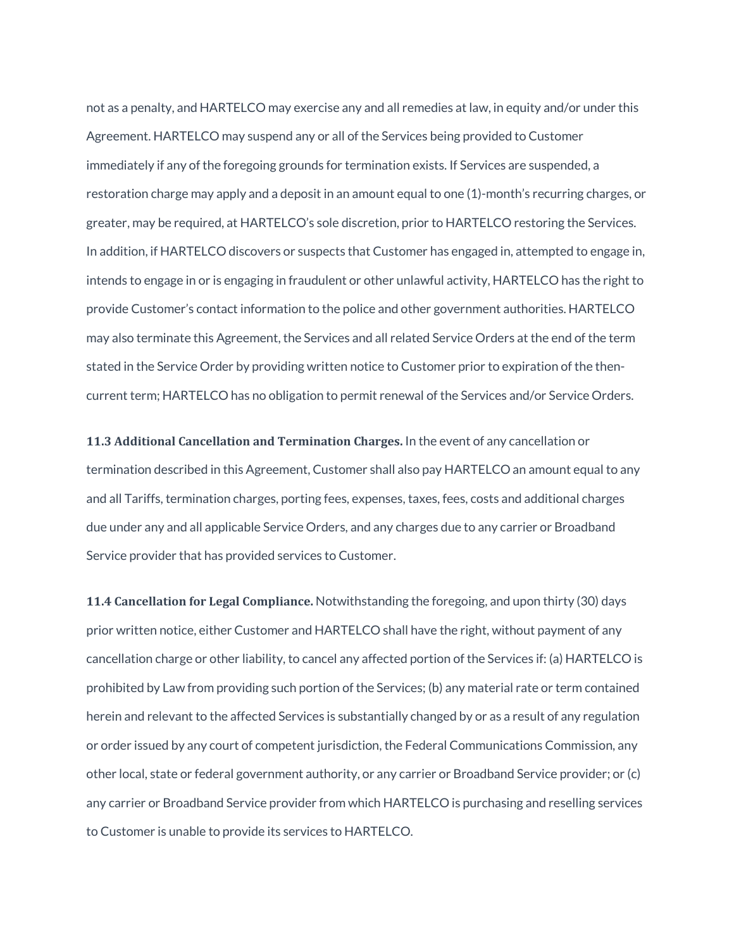not as a penalty, and HARTELCO may exercise any and all remedies at law, in equity and/or under this Agreement. HARTELCO may suspend any or all of the Services being provided to Customer immediately if any of the foregoing grounds for termination exists. If Services are suspended, a restoration charge may apply and a deposit in an amount equal to one (1)-month's recurring charges, or greater, may be required, at HARTELCO's sole discretion, prior to HARTELCO restoring the Services. In addition, if HARTELCO discovers or suspects that Customer has engaged in, attempted to engage in, intends to engage in or is engaging in fraudulent or other unlawful activity, HARTELCO has the right to provide Customer's contact information to the police and other government authorities. HARTELCO may also terminate this Agreement, the Services and all related Service Orders at the end of the term stated in the Service Order by providing written notice to Customer prior to expiration of the thencurrent term; HARTELCO has no obligation to permit renewal of the Services and/or Service Orders.

**11.3 Additional Cancellation and Termination Charges.** In the event of any cancellation or termination described in this Agreement, Customer shall also pay HARTELCO an amount equal to any and all Tariffs, termination charges, porting fees, expenses, taxes, fees, costs and additional charges due under any and all applicable Service Orders, and any charges due to any carrier or Broadband Service provider that has provided services to Customer.

**11.4 Cancellation for Legal Compliance.** Notwithstanding the foregoing, and upon thirty (30) days prior written notice, either Customer and HARTELCO shall have the right, without payment of any cancellation charge or other liability, to cancel any affected portion of the Services if: (a) HARTELCO is prohibited by Law from providing such portion of the Services; (b) any material rate or term contained herein and relevant to the affected Services is substantially changed by or as a result of any regulation or order issued by any court of competent jurisdiction, the Federal Communications Commission, any other local, state or federal government authority, or any carrier or Broadband Service provider; or (c) any carrier or Broadband Service provider from which HARTELCO is purchasing and reselling services to Customer is unable to provide its services to HARTELCO.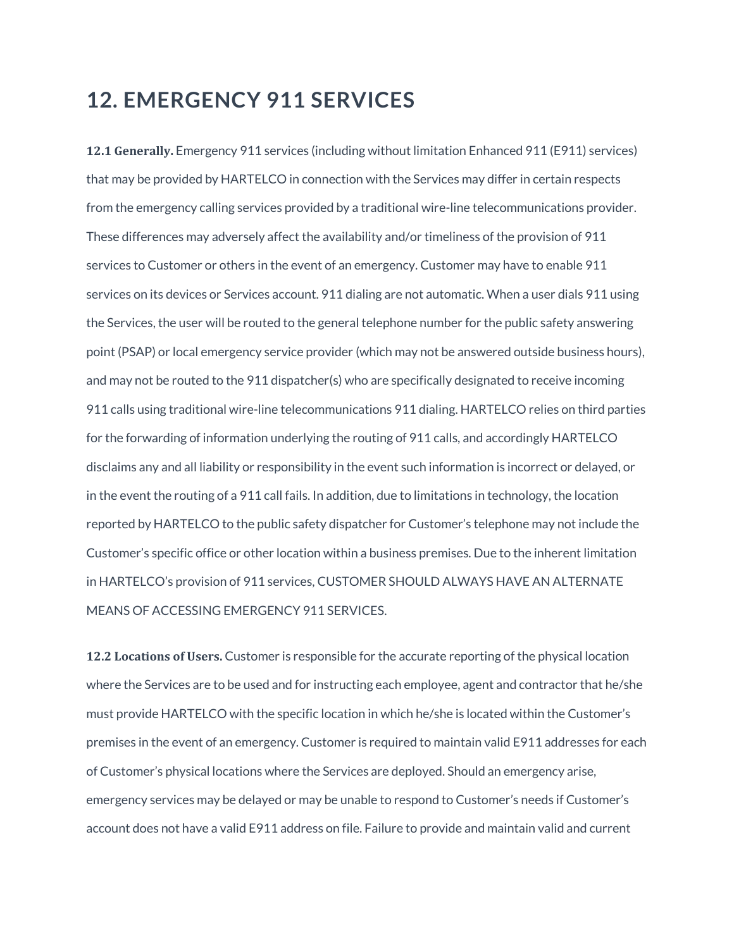#### **12. EMERGENCY 911 SERVICES**

**12.1 Generally.** Emergency 911 services (including without limitation Enhanced 911 (E911) services) that may be provided by HARTELCO in connection with the Services may differ in certain respects from the emergency calling services provided by a traditional wire-line telecommunications provider. These differences may adversely affect the availability and/or timeliness of the provision of 911 services to Customer or others in the event of an emergency. Customer may have to enable 911 services on its devices or Services account. 911 dialing are not automatic. When a user dials 911 using the Services, the user will be routed to the general telephone number for the public safety answering point (PSAP) or local emergency service provider (which may not be answered outside business hours), and may not be routed to the 911 dispatcher(s) who are specifically designated to receive incoming 911 calls using traditional wire-line telecommunications 911 dialing. HARTELCO relies on third parties for the forwarding of information underlying the routing of 911 calls, and accordingly HARTELCO disclaims any and all liability or responsibility in the event such information is incorrect or delayed, or in the event the routing of a 911 call fails. In addition, due to limitations in technology, the location reported by HARTELCO to the public safety dispatcher for Customer's telephone may not include the Customer's specific office or other location within a business premises. Due to the inherent limitation in HARTELCO's provision of 911 services, CUSTOMER SHOULD ALWAYS HAVE AN ALTERNATE MEANS OF ACCESSING EMERGENCY 911 SERVICES.

**12.2 Locations of Users.** Customer is responsible for the accurate reporting of the physical location where the Services are to be used and for instructing each employee, agent and contractor that he/she must provide HARTELCO with the specific location in which he/she is located within the Customer's premises in the event of an emergency. Customer is required to maintain valid E911 addresses for each of Customer's physical locations where the Services are deployed. Should an emergency arise, emergency services may be delayed or may be unable to respond to Customer's needs if Customer's account does not have a valid E911 address on file. Failure to provide and maintain valid and current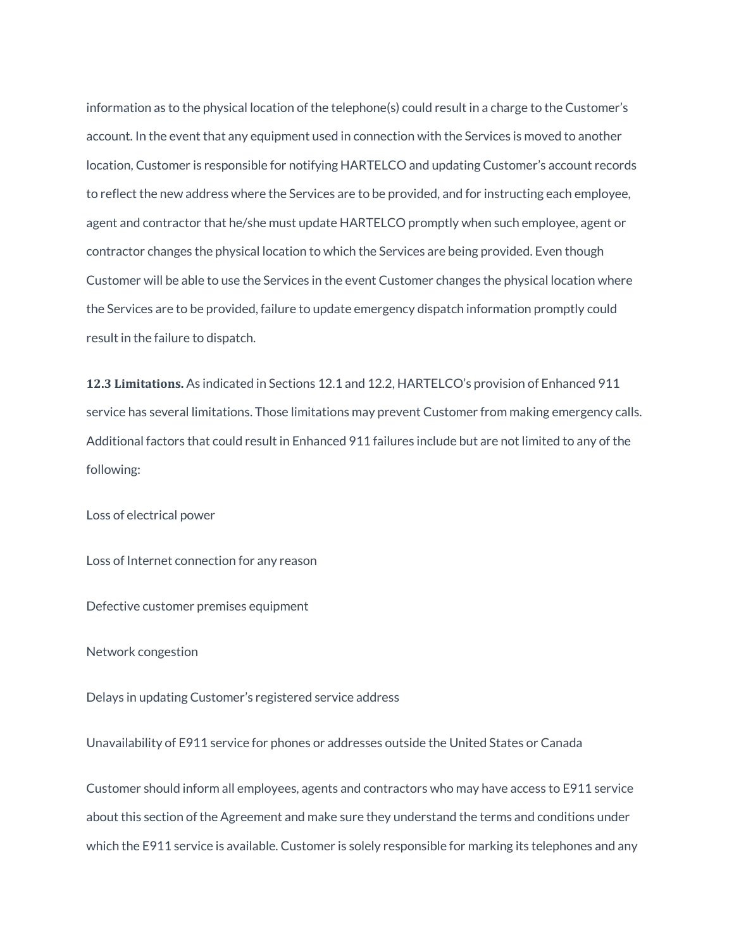information as to the physical location of the telephone(s) could result in a charge to the Customer's account. In the event that any equipment used in connection with the Services is moved to another location, Customer is responsible for notifying HARTELCO and updating Customer's account records to reflect the new address where the Services are to be provided, and for instructing each employee, agent and contractor that he/she must update HARTELCO promptly when such employee, agent or contractor changes the physical location to which the Services are being provided. Even though Customer will be able to use the Services in the event Customer changes the physical location where the Services are to be provided, failure to update emergency dispatch information promptly could result in the failure to dispatch.

**12.3 Limitations.** As indicated in Sections 12.1 and 12.2, HARTELCO's provision of Enhanced 911 service has several limitations. Those limitations may prevent Customer from making emergency calls. Additional factors that could result in Enhanced 911 failures include but are not limited to any of the following:

Loss of electrical power

Loss of Internet connection for any reason

Defective customer premises equipment

Network congestion

Delays in updating Customer's registered service address

Unavailability of E911 service for phones or addresses outside the United States or Canada

Customer should inform all employees, agents and contractors who may have access to E911 service about this section of the Agreement and make sure they understand the terms and conditions under which the E911 service is available. Customer is solely responsible for marking its telephones and any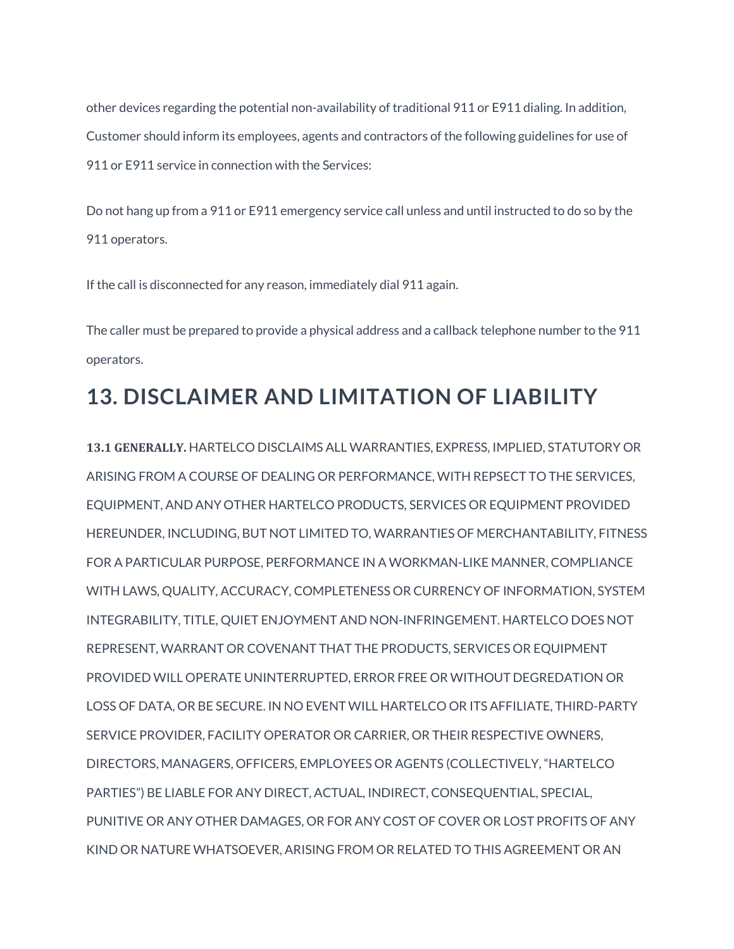other devices regarding the potential non-availability of traditional 911 or E911 dialing. In addition, Customer should inform its employees, agents and contractors of the following guidelines for use of 911 or E911 service in connection with the Services:

Do not hang up from a 911 or E911 emergency service call unless and until instructed to do so by the 911 operators.

If the call is disconnected for any reason, immediately dial 911 again.

The caller must be prepared to provide a physical address and a callback telephone number to the 911 operators.

## **13. DISCLAIMER AND LIMITATION OF LIABILITY**

**13.1 GENERALLY.** HARTELCO DISCLAIMS ALL WARRANTIES, EXPRESS, IMPLIED, STATUTORY OR ARISING FROM A COURSE OF DEALING OR PERFORMANCE, WITH REPSECT TO THE SERVICES, EQUIPMENT, AND ANY OTHER HARTELCO PRODUCTS, SERVICES OR EQUIPMENT PROVIDED HEREUNDER, INCLUDING, BUT NOT LIMITED TO, WARRANTIES OF MERCHANTABILITY, FITNESS FOR A PARTICULAR PURPOSE, PERFORMANCE IN A WORKMAN-LIKE MANNER, COMPLIANCE WITH LAWS, QUALITY, ACCURACY, COMPLETENESS OR CURRENCY OF INFORMATION, SYSTEM INTEGRABILITY, TITLE, QUIET ENJOYMENT AND NON-INFRINGEMENT. HARTELCO DOES NOT REPRESENT, WARRANT OR COVENANT THAT THE PRODUCTS, SERVICES OR EQUIPMENT PROVIDED WILL OPERATE UNINTERRUPTED, ERROR FREE OR WITHOUT DEGREDATION OR LOSS OF DATA, OR BE SECURE. IN NO EVENT WILL HARTELCO OR ITS AFFILIATE, THIRD-PARTY SERVICE PROVIDER, FACILITY OPERATOR OR CARRIER, OR THEIR RESPECTIVE OWNERS, DIRECTORS, MANAGERS, OFFICERS, EMPLOYEES OR AGENTS (COLLECTIVELY, "HARTELCO PARTIES") BE LIABLE FOR ANY DIRECT, ACTUAL, INDIRECT, CONSEQUENTIAL, SPECIAL, PUNITIVE OR ANY OTHER DAMAGES, OR FOR ANY COST OF COVER OR LOST PROFITS OF ANY KIND OR NATURE WHATSOEVER, ARISING FROM OR RELATED TO THIS AGREEMENT OR AN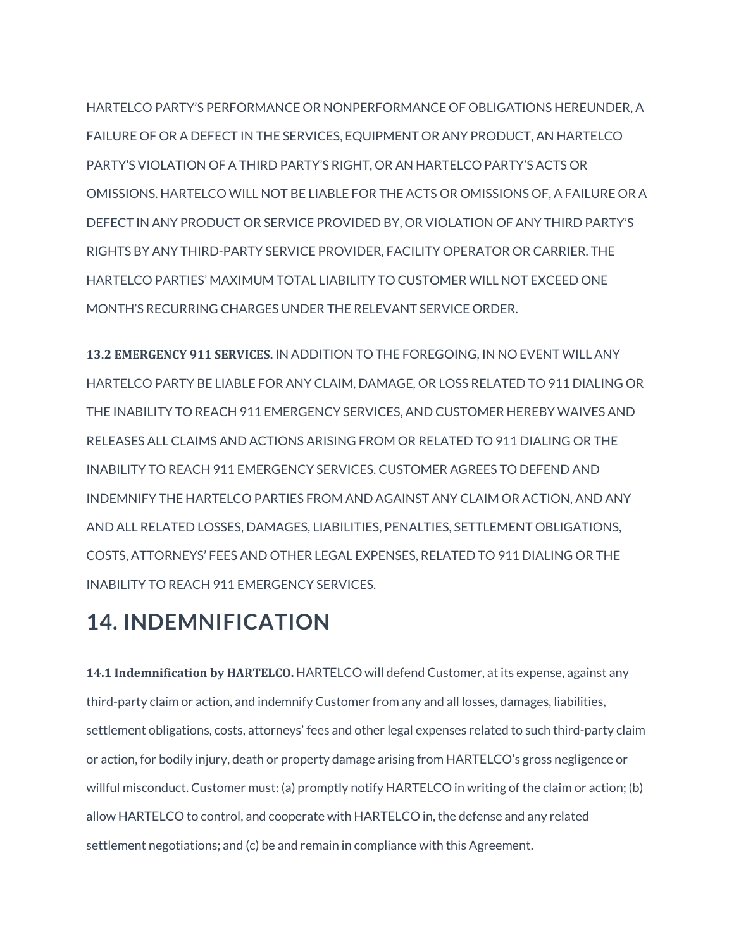HARTELCO PARTY'S PERFORMANCE OR NONPERFORMANCE OF OBLIGATIONS HEREUNDER, A FAILURE OF OR A DEFECT IN THE SERVICES, EQUIPMENT OR ANY PRODUCT, AN HARTELCO PARTY'S VIOLATION OF A THIRD PARTY'S RIGHT, OR AN HARTELCO PARTY'S ACTS OR OMISSIONS. HARTELCO WILL NOT BE LIABLE FOR THE ACTS OR OMISSIONS OF, A FAILURE OR A DEFECT IN ANY PRODUCT OR SERVICE PROVIDED BY, OR VIOLATION OF ANY THIRD PARTY'S RIGHTS BY ANY THIRD-PARTY SERVICE PROVIDER, FACILITY OPERATOR OR CARRIER. THE HARTELCO PARTIES' MAXIMUM TOTAL LIABILITY TO CUSTOMER WILL NOT EXCEED ONE MONTH'S RECURRING CHARGES UNDER THE RELEVANT SERVICE ORDER.

**13.2 EMERGENCY 911 SERVICES.** IN ADDITION TO THE FOREGOING, IN NO EVENT WILL ANY HARTELCO PARTY BE LIABLE FOR ANY CLAIM, DAMAGE, OR LOSS RELATED TO 911 DIALING OR THE INABILITY TO REACH 911 EMERGENCY SERVICES, AND CUSTOMER HEREBY WAIVES AND RELEASES ALL CLAIMS AND ACTIONS ARISING FROM OR RELATED TO 911 DIALING OR THE INABILITY TO REACH 911 EMERGENCY SERVICES. CUSTOMER AGREES TO DEFEND AND INDEMNIFY THE HARTELCO PARTIES FROM AND AGAINST ANY CLAIM OR ACTION, AND ANY AND ALL RELATED LOSSES, DAMAGES, LIABILITIES, PENALTIES, SETTLEMENT OBLIGATIONS, COSTS, ATTORNEYS' FEES AND OTHER LEGAL EXPENSES, RELATED TO 911 DIALING OR THE INABILITY TO REACH 911 EMERGENCY SERVICES.

### **14. INDEMNIFICATION**

**14.1 Indemnification by HARTELCO.** HARTELCO will defend Customer, at its expense, against any third-party claim or action, and indemnify Customer from any and all losses, damages, liabilities, settlement obligations, costs, attorneys' fees and other legal expenses related to such third-party claim or action, for bodily injury, death or property damage arising from HARTELCO's gross negligence or willful misconduct. Customer must: (a) promptly notify HARTELCO in writing of the claim or action; (b) allow HARTELCO to control, and cooperate with HARTELCO in, the defense and any related settlement negotiations; and (c) be and remain in compliance with this Agreement.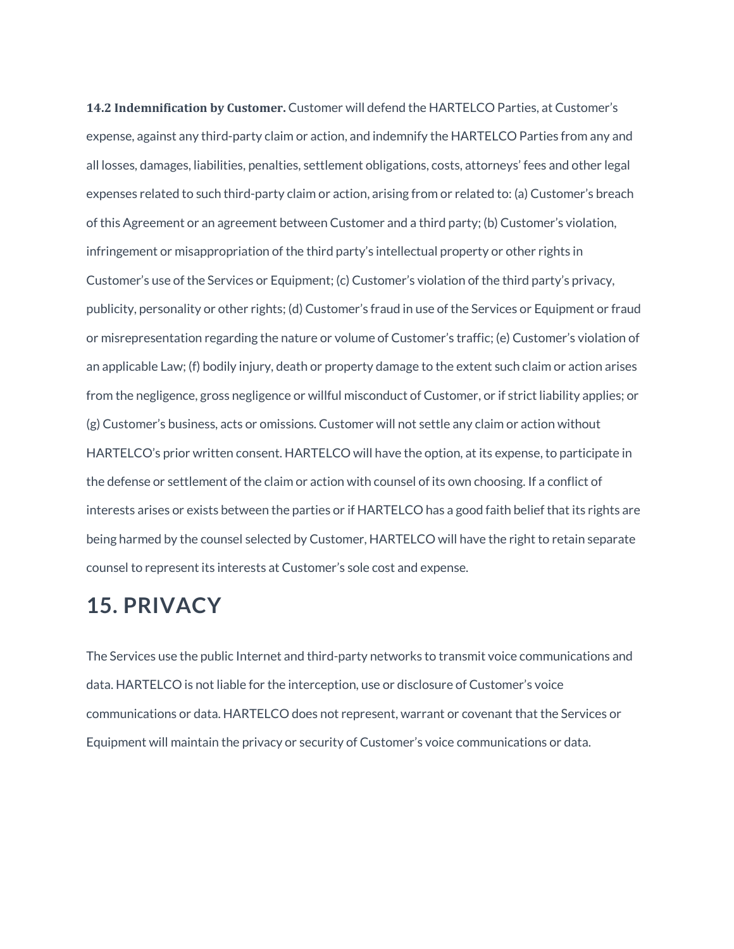**14.2 Indemnification by Customer.** Customer will defend the HARTELCO Parties, at Customer's expense, against any third-party claim or action, and indemnify the HARTELCO Parties from any and all losses, damages, liabilities, penalties, settlement obligations, costs, attorneys' fees and other legal expenses related to such third-party claim or action, arising from or related to: (a) Customer's breach of this Agreement or an agreement between Customer and a third party; (b) Customer's violation, infringement or misappropriation of the third party's intellectual property or other rights in Customer's use of the Services or Equipment; (c) Customer's violation of the third party's privacy, publicity, personality or other rights; (d) Customer's fraud in use of the Services or Equipment or fraud or misrepresentation regarding the nature or volume of Customer's traffic; (e) Customer's violation of an applicable Law; (f) bodily injury, death or property damage to the extent such claim or action arises from the negligence, gross negligence or willful misconduct of Customer, or if strict liability applies; or (g) Customer's business, acts or omissions. Customer will not settle any claim or action without HARTELCO's prior written consent. HARTELCO will have the option, at its expense, to participate in the defense or settlement of the claim or action with counsel of its own choosing. If a conflict of interests arises or exists between the parties or if HARTELCO has a good faith belief that its rights are being harmed by the counsel selected by Customer, HARTELCO will have the right to retain separate counsel to represent its interests at Customer's sole cost and expense.

#### **15. PRIVACY**

The Services use the public Internet and third-party networks to transmit voice communications and data. HARTELCO is not liable for the interception, use or disclosure of Customer's voice communications or data. HARTELCO does not represent, warrant or covenant that the Services or Equipment will maintain the privacy or security of Customer's voice communications or data.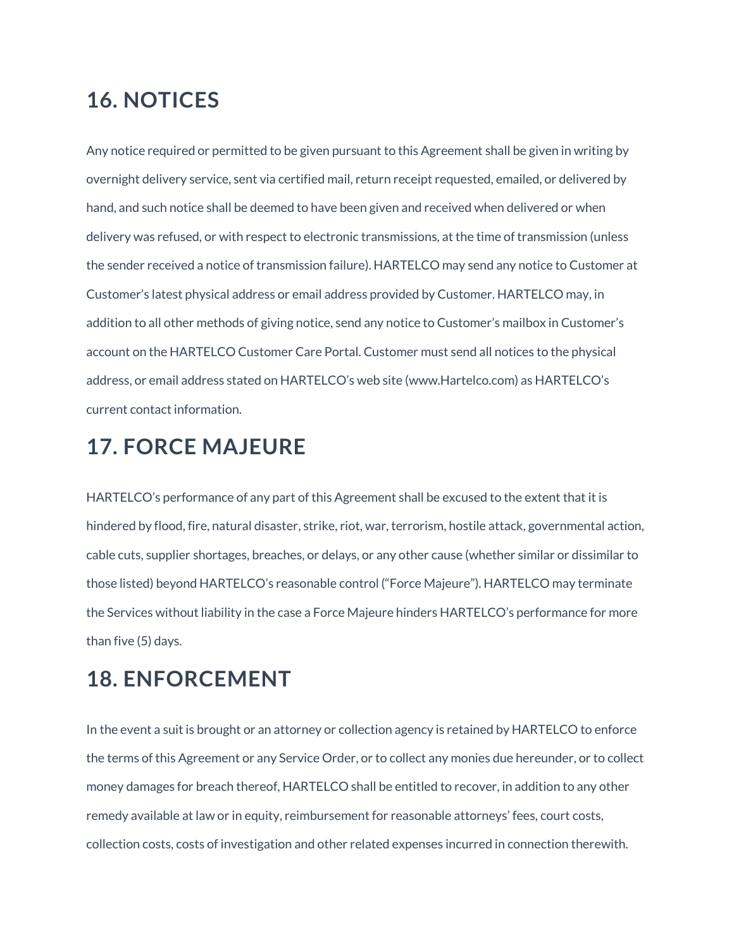## **16. NOTICES**

Any notice required or permitted to be given pursuant to this Agreement shall be given in writing by overnight delivery service, sent via certified mail, return receipt requested, emailed, or delivered by hand, and such notice shall be deemed to have been given and received when delivered or when delivery was refused, or with respect to electronic transmissions, at the time of transmission (unless the sender received a notice of transmission failure). HARTELCO may send any notice to Customer at Customer's latest physical address or email address provided by Customer. HARTELCO may, in addition to all other methods of giving notice, send any notice to Customer's mailbox in Customer's account on the HARTELCO Customer Care Portal. Customer must send all notices to the physical address, or email address stated on HARTELCO's web site (www.Hartelco.com) as HARTELCO's current contact information.

### **17. FORCE MAJEURE**

HARTELCO's performance of any part of this Agreement shall be excused to the extent that it is hindered by flood, fire, natural disaster, strike, riot, war, terrorism, hostile attack, governmental action, cable cuts, supplier shortages, breaches, or delays, or any other cause (whether similar or dissimilar to those listed) beyond HARTELCO's reasonable control ("Force Majeure"). HARTELCO may terminate the Services without liability in the case a Force Majeure hinders HARTELCO's performance for more than five (5) days.

## **18. ENFORCEMENT**

In the event a suit is brought or an attorney or collection agency is retained by HARTELCO to enforce the terms of this Agreement or any Service Order, or to collect any monies due hereunder, or to collect money damages for breach thereof, HARTELCO shall be entitled to recover, in addition to any other remedy available at law or in equity, reimbursement for reasonable attorneys' fees, court costs, collection costs, costs of investigation and other related expenses incurred in connection therewith.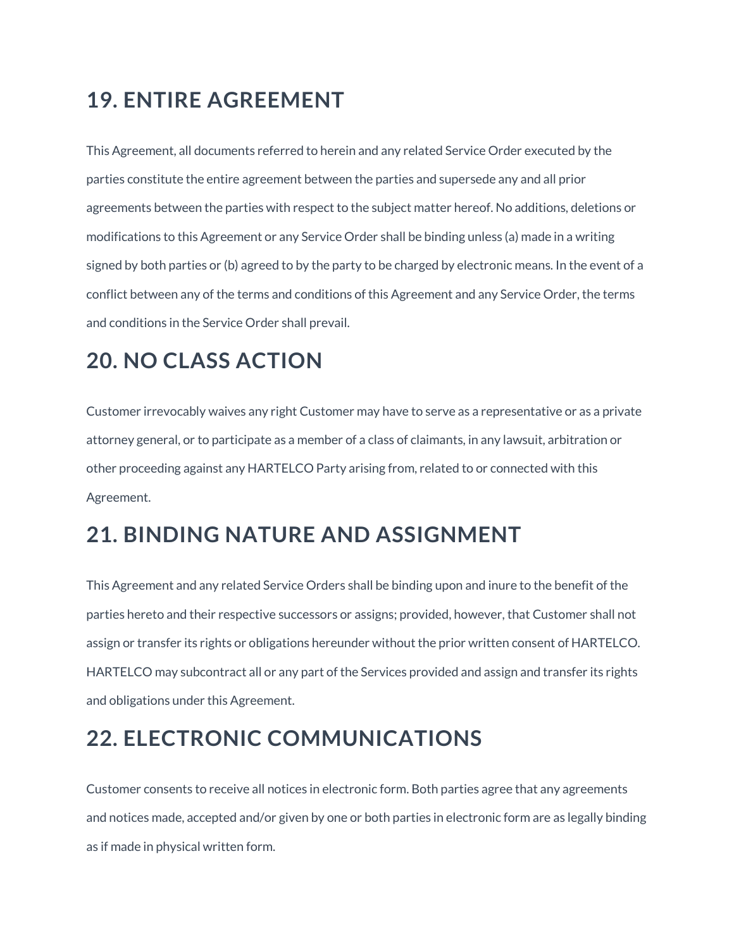## **19. ENTIRE AGREEMENT**

This Agreement, all documents referred to herein and any related Service Order executed by the parties constitute the entire agreement between the parties and supersede any and all prior agreements between the parties with respect to the subject matter hereof. No additions, deletions or modifications to this Agreement or any Service Order shall be binding unless (a) made in a writing signed by both parties or (b) agreed to by the party to be charged by electronic means. In the event of a conflict between any of the terms and conditions of this Agreement and any Service Order, the terms and conditions in the Service Order shall prevail.

## **20. NO CLASS ACTION**

Customer irrevocably waives any right Customer may have to serve as a representative or as a private attorney general, or to participate as a member of a class of claimants, in any lawsuit, arbitration or other proceeding against any HARTELCO Party arising from, related to or connected with this Agreement.

## **21. BINDING NATURE AND ASSIGNMENT**

This Agreement and any related Service Orders shall be binding upon and inure to the benefit of the parties hereto and their respective successors or assigns; provided, however, that Customer shall not assign or transfer its rights or obligations hereunder without the prior written consent of HARTELCO. HARTELCO may subcontract all or any part of the Services provided and assign and transfer its rights and obligations under this Agreement.

## **22. ELECTRONIC COMMUNICATIONS**

Customer consents to receive all notices in electronic form. Both parties agree that any agreements and notices made, accepted and/or given by one or both parties in electronic form are as legally binding as if made in physical written form.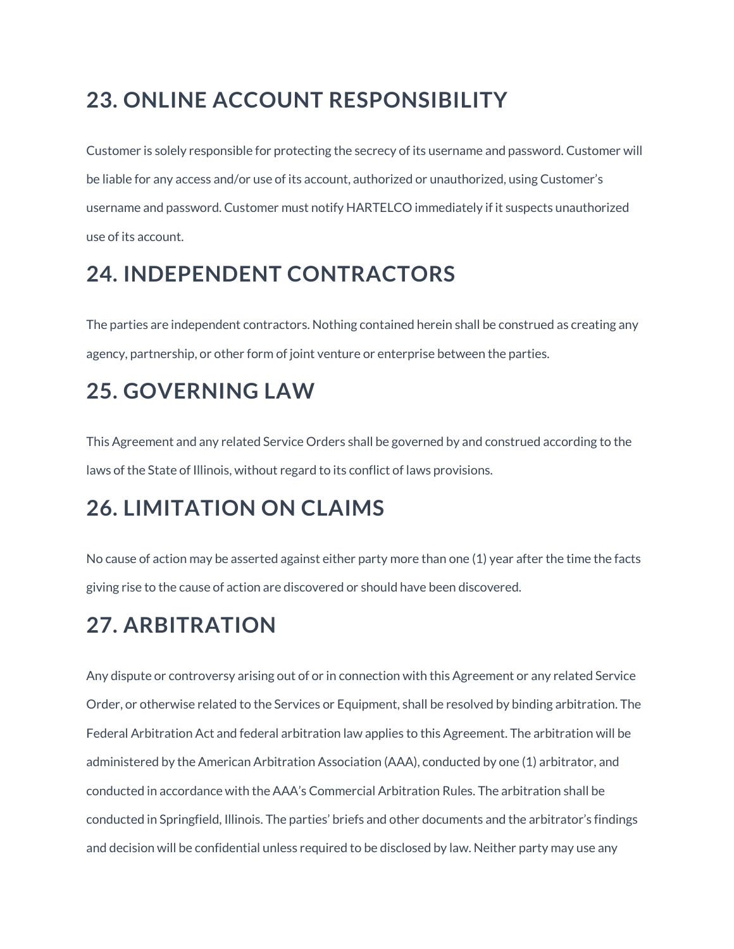## **23. ONLINE ACCOUNT RESPONSIBILITY**

Customer is solely responsible for protecting the secrecy of its username and password. Customer will be liable for any access and/or use of its account, authorized or unauthorized, using Customer's username and password. Customer must notify HARTELCO immediately if it suspects unauthorized use of its account.

## **24. INDEPENDENT CONTRACTORS**

The parties are independent contractors. Nothing contained herein shall be construed as creating any agency, partnership, or other form of joint venture or enterprise between the parties.

## **25. GOVERNING LAW**

This Agreement and any related Service Orders shall be governed by and construed according to the laws of the State of Illinois, without regard to its conflict of laws provisions.

## **26. LIMITATION ON CLAIMS**

No cause of action may be asserted against either party more than one (1) year after the time the facts giving rise to the cause of action are discovered or should have been discovered.

## **27. ARBITRATION**

Any dispute or controversy arising out of or in connection with this Agreement or any related Service Order, or otherwise related to the Services or Equipment, shall be resolved by binding arbitration. The Federal Arbitration Act and federal arbitration law applies to this Agreement. The arbitration will be administered by the American Arbitration Association (AAA), conducted by one (1) arbitrator, and conducted in accordance with the AAA's Commercial Arbitration Rules. The arbitration shall be conducted in Springfield, Illinois. The parties' briefs and other documents and the arbitrator's findings and decision will be confidential unless required to be disclosed by law. Neither party may use any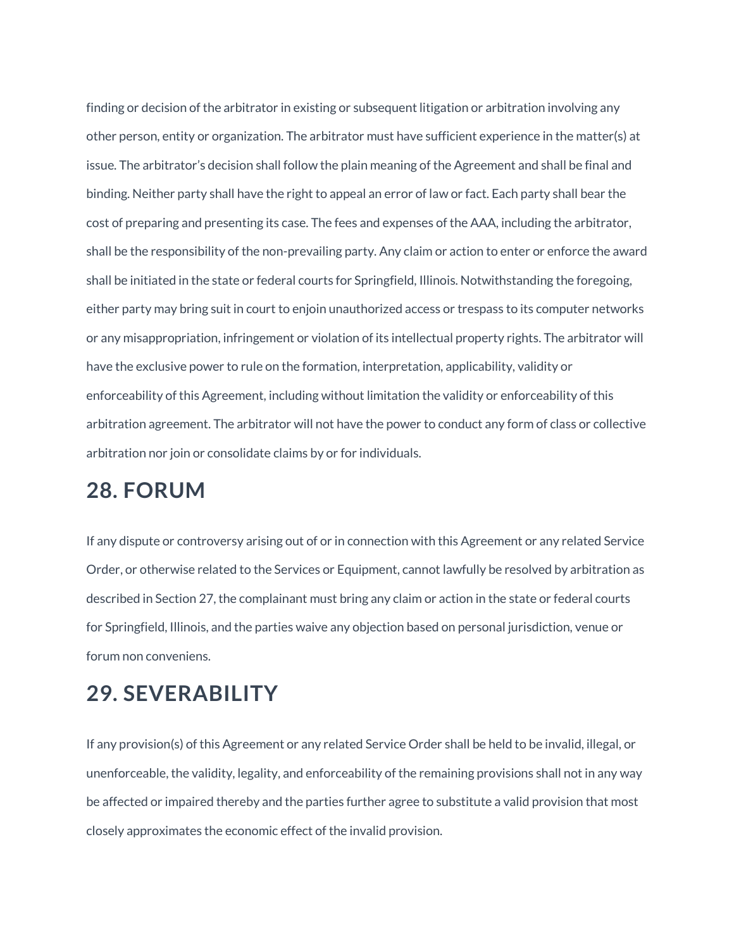finding or decision of the arbitrator in existing or subsequent litigation or arbitration involving any other person, entity or organization. The arbitrator must have sufficient experience in the matter(s) at issue. The arbitrator's decision shall follow the plain meaning of the Agreement and shall be final and binding. Neither party shall have the right to appeal an error of law or fact. Each party shall bear the cost of preparing and presenting its case. The fees and expenses of the AAA, including the arbitrator, shall be the responsibility of the non-prevailing party. Any claim or action to enter or enforce the award shall be initiated in the state or federal courts for Springfield, Illinois. Notwithstanding the foregoing, either party may bring suit in court to enjoin unauthorized access or trespass to its computer networks or any misappropriation, infringement or violation of its intellectual property rights. The arbitrator will have the exclusive power to rule on the formation, interpretation, applicability, validity or enforceability of this Agreement, including without limitation the validity or enforceability of this arbitration agreement. The arbitrator will not have the power to conduct any form of class or collective arbitration nor join or consolidate claims by or for individuals.

#### **28. FORUM**

If any dispute or controversy arising out of or in connection with this Agreement or any related Service Order, or otherwise related to the Services or Equipment, cannot lawfully be resolved by arbitration as described in Section 27, the complainant must bring any claim or action in the state or federal courts for Springfield, Illinois, and the parties waive any objection based on personal jurisdiction, venue or forum non conveniens.

#### **29. SEVERABILITY**

If any provision(s) of this Agreement or any related Service Order shall be held to be invalid, illegal, or unenforceable, the validity, legality, and enforceability of the remaining provisions shall not in any way be affected or impaired thereby and the parties further agree to substitute a valid provision that most closely approximates the economic effect of the invalid provision.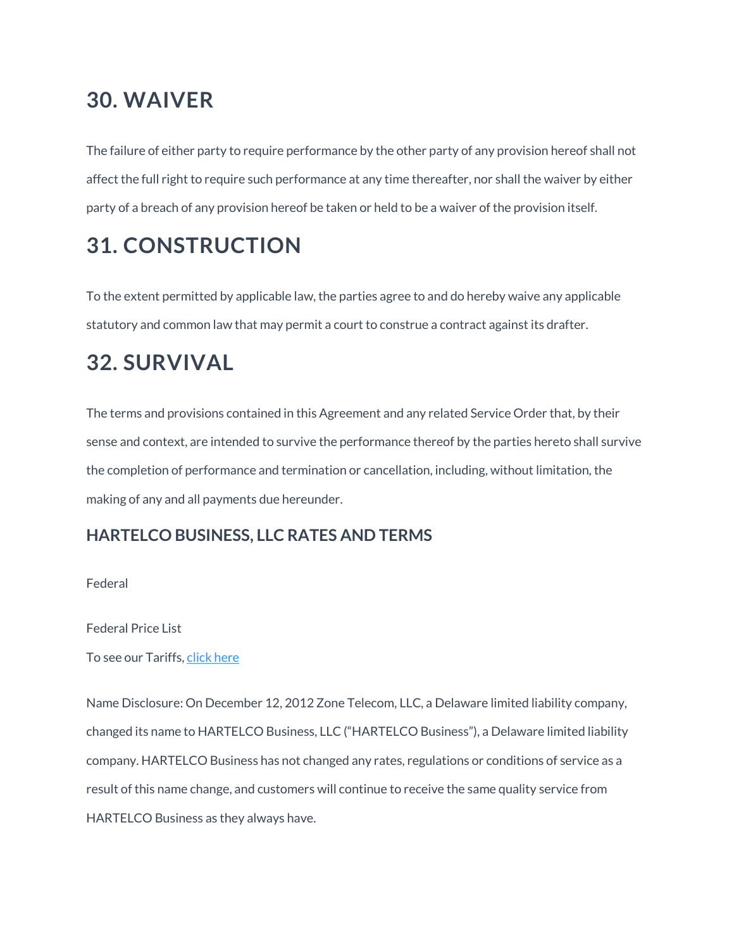### **30. WAIVER**

The failure of either party to require performance by the other party of any provision hereof shall not affect the full right to require such performance at any time thereafter, nor shall the waiver by either party of a breach of any provision hereof be taken or held to be a waiver of the provision itself.

## **31. CONSTRUCTION**

To the extent permitted by applicable law, the parties agree to and do hereby waive any applicable statutory and common law that may permit a court to construe a contract against its drafter.

## **32. SURVIVAL**

The terms and provisions contained in this Agreement and any related Service Order that, by their sense and context, are intended to survive the performance thereof by the parties hereto shall survive the completion of performance and termination or cancellation, including, without limitation, the making of any and all payments due hereunder.

#### **HARTELCO BUSINESS, LLC RATES AND TERMS**

Federal

Federal Price List

To see our Tariffs, click [here](https://www.voyant.com/tariffs)

Name Disclosure: On December 12, 2012 Zone Telecom, LLC, a Delaware limited liability company, changed its name to HARTELCO Business, LLC ("HARTELCO Business"), a Delaware limited liability company. HARTELCO Business has not changed any rates, regulations or conditions of service as a result of this name change, and customers will continue to receive the same quality service from HARTELCO Business as they always have.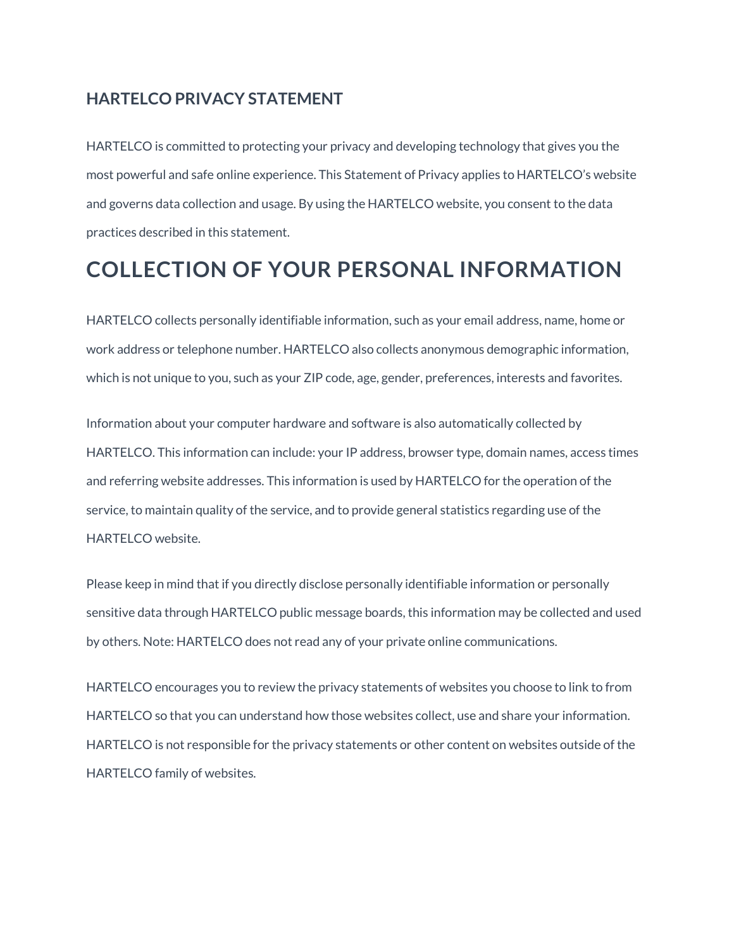#### **HARTELCO PRIVACY STATEMENT**

HARTELCO is committed to protecting your privacy and developing technology that gives you the most powerful and safe online experience. This Statement of Privacy applies to HARTELCO's website and governs data collection and usage. By using the HARTELCO website, you consent to the data practices described in this statement.

## **COLLECTION OF YOUR PERSONAL INFORMATION**

HARTELCO collects personally identifiable information, such as your email address, name, home or work address or telephone number. HARTELCO also collects anonymous demographic information, which is not unique to you, such as your ZIP code, age, gender, preferences, interests and favorites.

Information about your computer hardware and software is also automatically collected by HARTELCO. This information can include: your IP address, browser type, domain names, access times and referring website addresses. This information is used by HARTELCO for the operation of the service, to maintain quality of the service, and to provide general statistics regarding use of the HARTELCO website.

Please keep in mind that if you directly disclose personally identifiable information or personally sensitive data through HARTELCO public message boards, this information may be collected and used by others. Note: HARTELCO does not read any of your private online communications.

HARTELCO encourages you to review the privacy statements of websites you choose to link to from HARTELCO so that you can understand how those websites collect, use and share your information. HARTELCO is not responsible for the privacy statements or other content on websites outside of the HARTELCO family of websites.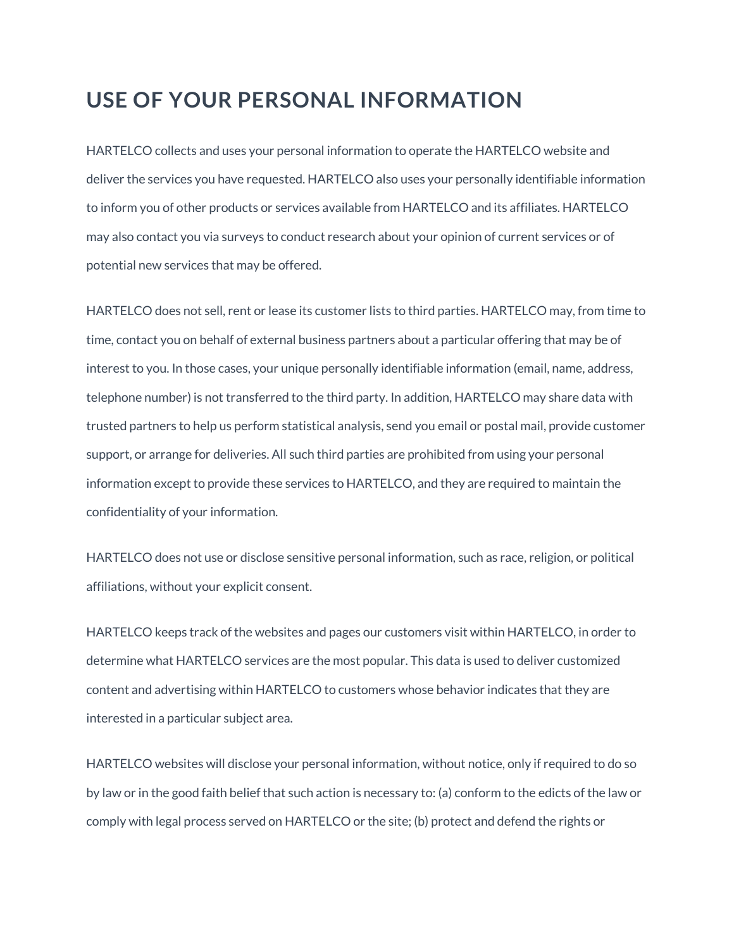#### **USE OF YOUR PERSONAL INFORMATION**

HARTELCO collects and uses your personal information to operate the HARTELCO website and deliver the services you have requested. HARTELCO also uses your personally identifiable information to inform you of other products or services available from HARTELCO and its affiliates. HARTELCO may also contact you via surveys to conduct research about your opinion of current services or of potential new services that may be offered.

HARTELCO does not sell, rent or lease its customer lists to third parties. HARTELCO may, from time to time, contact you on behalf of external business partners about a particular offering that may be of interest to you. In those cases, your unique personally identifiable information (email, name, address, telephone number) is not transferred to the third party. In addition, HARTELCO may share data with trusted partners to help us perform statistical analysis, send you email or postal mail, provide customer support, or arrange for deliveries. All such third parties are prohibited from using your personal information except to provide these services to HARTELCO, and they are required to maintain the confidentiality of your information.

HARTELCO does not use or disclose sensitive personal information, such as race, religion, or political affiliations, without your explicit consent.

HARTELCO keeps track of the websites and pages our customers visit within HARTELCO, in order to determine what HARTELCO services are the most popular. This data is used to deliver customized content and advertising within HARTELCO to customers whose behavior indicates that they are interested in a particular subject area.

HARTELCO websites will disclose your personal information, without notice, only if required to do so by law or in the good faith belief that such action is necessary to: (a) conform to the edicts of the law or comply with legal process served on HARTELCO or the site; (b) protect and defend the rights or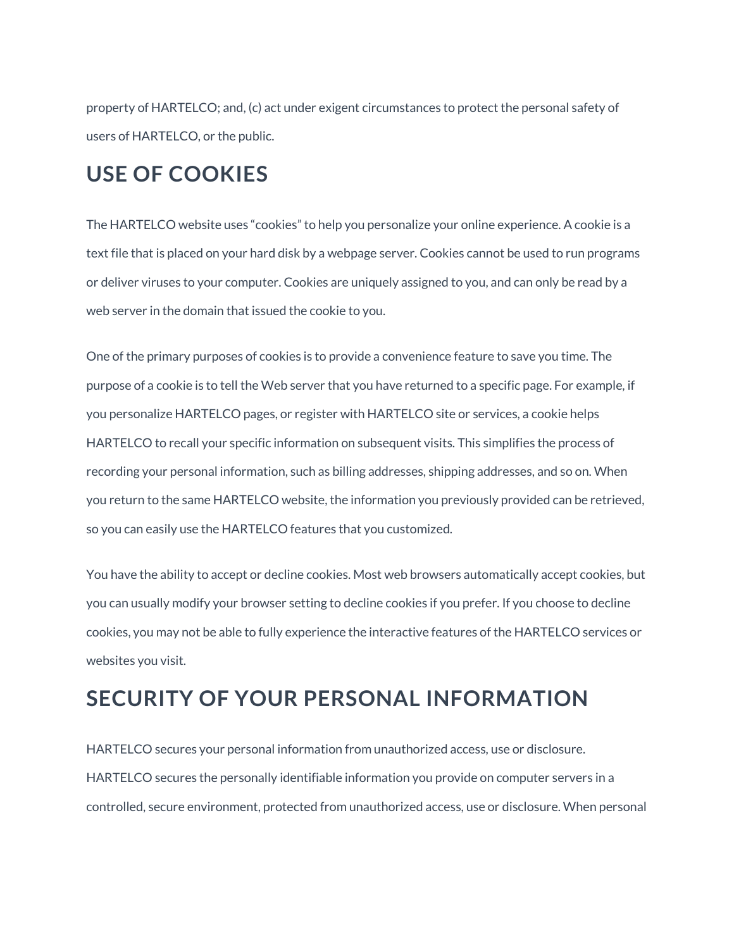property of HARTELCO; and, (c) act under exigent circumstances to protect the personal safety of users of HARTELCO, or the public.

#### **USE OF COOKIES**

The HARTELCO website uses "cookies" to help you personalize your online experience. A cookie is a text file that is placed on your hard disk by a webpage server. Cookies cannot be used to run programs or deliver viruses to your computer. Cookies are uniquely assigned to you, and can only be read by a web server in the domain that issued the cookie to you.

One of the primary purposes of cookies is to provide a convenience feature to save you time. The purpose of a cookie is to tell the Web server that you have returned to a specific page. For example, if you personalize HARTELCO pages, or register with HARTELCO site or services, a cookie helps HARTELCO to recall your specific information on subsequent visits. This simplifies the process of recording your personal information, such as billing addresses, shipping addresses, and so on. When you return to the same HARTELCO website, the information you previously provided can be retrieved, so you can easily use the HARTELCO features that you customized.

You have the ability to accept or decline cookies. Most web browsers automatically accept cookies, but you can usually modify your browser setting to decline cookies if you prefer. If you choose to decline cookies, you may not be able to fully experience the interactive features of the HARTELCO services or websites you visit.

## **SECURITY OF YOUR PERSONAL INFORMATION**

HARTELCO secures your personal information from unauthorized access, use or disclosure. HARTELCO secures the personally identifiable information you provide on computer servers in a controlled, secure environment, protected from unauthorized access, use or disclosure. When personal